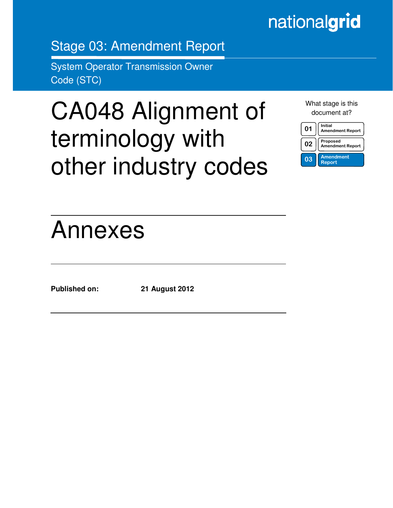# nationalgrid

Stage 03: Amendment Report

System Operator Transmission Owner Code (STC)

# CA048 Alignment of terminology with other industry codes

What stage is this document at?

| 01 | Initial<br><b>Amendment Report</b>  |
|----|-------------------------------------|
| 02 | Proposed<br><b>Amendment Report</b> |
| 03 | <b>Amendment</b><br><b>Report</b>   |

# Annexes

Ξ

**Published on: 21 August 2012**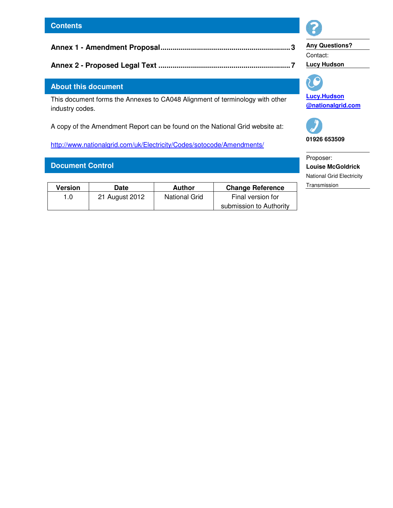# **Annex 1 - Amendment Proposal................................................................3**

**Annex 2 - Proposed Legal Text .................................................................7** 

# **About this document**

This document forms the Annexes to CA048 Alignment of terminology with other industry codes.

A copy of the Amendment Report can be found on the National Grid website at:

http://www.nationalgrid.com/uk/Electricity/Codes/sotocode/Amendments/

# **Document Control**

| Version | Date           | Author               | <b>Change Reference</b> |
|---------|----------------|----------------------|-------------------------|
| 1.0     | 21 August 2012 | <b>National Grid</b> | Final version for       |
|         |                |                      | submission to Authority |



**Any Questions?**  Contact: **Lucy Hudson** 



**Lucy.Hudson @nationalgrid.com** 



**01926 653509** 

Proposer: **Louise McGoldrick**  National Grid Electricity **Transmission**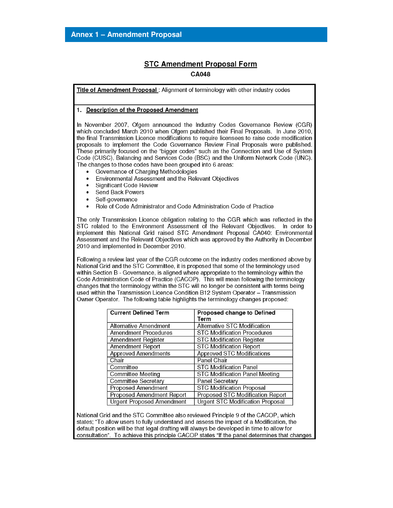# **STC Amendment Proposal Form**

#### **CA048**

Title of Amendment Proposal: Alignment of terminology with other industry codes

#### 1. Description of the Proposed Amendment

In November 2007, Ofgem announced the Industry Codes Governance Review (CGR) which concluded March 2010 when Ofgem published their Final Proposals. In June 2010, the final Transmission Licence modifications to require licensees to raise code modification proposals to implement the Code Governance Review Final Proposals were published. These primarily focused on the "bigger codes" such as the Connection and Use of System Code (CUSC), Balancing and Services Code (BSC) and the Uniform Network Code (UNC). The changes to those codes have been grouped into 6 areas:

- Governance of Charging Methodologies
- Environmental Assessment and the Relevant Objectives  $\bullet$
- **Significant Code Review**  $\bullet$
- Send Back Powers  $\bullet$
- Self-governance  $\bullet$
- $\bullet$ Role of Code Administrator and Code Administration Code of Practice

The only Transmission Licence obligation relating to the CGR which was reflected in the STC related to the Environment Assessment of the Relevant Objectives. In order to implement this National Grid raised STC Amendment Proposal CA040: Environmental Assessment and the Relevant Objectives which was approved by the Authority in December 2010 and implemented in December 2010.

Following a review last year of the CGR outcome on the industry codes mentioned above by National Grid and the STC Committee, it is proposed that some of the terminology used within Section B - Governance, is aligned where appropriate to the terminology within the Code Administration Code of Practice (CACOP). This will mean following the terminology changes that the terminology within the STC will no longer be consistent with terms being used within the Transmission Licence Condition B12 System Operator - Transmission Owner Operator. The following table highlights the terminology changes proposed:

| <b>Current Defined Term</b>      | Proposed change to Defined              |
|----------------------------------|-----------------------------------------|
|                                  | Term                                    |
| Alternative Amendment            | Alternative STC Modification            |
| <b>Amendment Procedures</b>      | <b>STC Modification Procedures</b>      |
| Amendment Register               | <b>STC Modification Register</b>        |
| <b>Amendment Report</b>          | <b>STC Modification Report</b>          |
| <b>Approved Amendments</b>       | <b>Approved STC Modifications</b>       |
| Chair                            | Panel Chair                             |
| Committee                        | <b>STC Modification Panel</b>           |
| <b>Committee Meeting</b>         | <b>STC Modification Panel Meeting</b>   |
| <b>Committee Secretary</b>       | <b>Panel Secretary</b>                  |
| <b>Proposed Amendment</b>        | <b>STC Modification Proposal</b>        |
| <b>Proposed Amendment Report</b> | Proposed STC Modification Report        |
| <b>Urgent Proposed Amendment</b> | <b>Urgent STC Modification Proposal</b> |

National Grid and the STC Committee also reviewed Principle 9 of the CACOP, which states; "To allow users to fully understand and assess the impact of a Modification, the default position will be that legal drafting will always be developed in time to allow for consultation". To achieve this principle CACOP states "If the panel determines that changes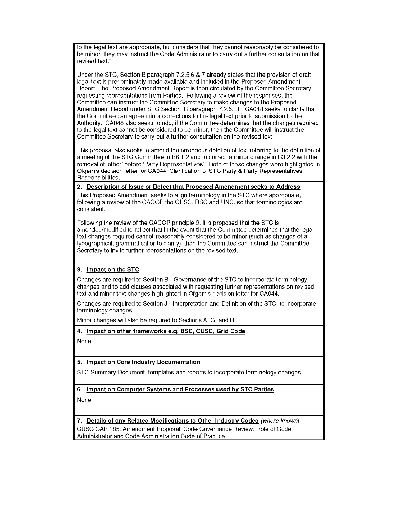to the legal text are appropriate, but considers that they cannot reasonably be considered to be minor, they may instruct the Code Administrator to carry out a further consultation on that revised text."

Under the STC, Section B paragraph 7.2.5.6 & 7 already states that the provision of draft legal text is predominately made available and included in the Proposed Amendment Report. The Proposed Amendment Report is then circulated by the Committee Secretary requesting representations from Parties. Following a review of the responses, the Committee can instruct the Committee Secretary to make changes to the Proposed Amendment Report under STC Section B paragraph 7.2.5.11. CA048 seeks to clarify that the Committee can agree minor corrections to the legal text prior to submission to the Authority. CA048 also seeks to add, if the Committee determines that the changes required to the legal text cannot be considered to be minor, then the Committee will instruct the Committee Secretary to carry out a further consultation on the revised text.

This proposal also seeks to amend the erroneous deletion of text referring to the definition of a meeting of the STC Committee in B6.1.2 and to correct a minor change in B3.2.2 with the removal of 'other' before 'Party Representatives'. Both of these changes were highlighted in Ofgem's decision letter for CA044: Clarification of STC Party & Party Representatives' Responsibilities.

#### 2. Description of Issue or Defect that Proposed Amendment seeks to Address

This Proposed Amendment seeks to align terminology in the STC where appropriate. following a review of the CACOP the CUSC, BSC and UNC, so that terminologies are consistent.

Following the review of the CACOP principle 9, it is proposed that the STC is amended/modified to reflect that in the event that the Committee determines that the legal text changes required cannot reasonably considered to be minor (such as changes of a typographical, grammatical or to clarify), then the Committee can instruct the Committee Secretary to invite further representations on the revised text.

### 3. Impact on the STC

Changes are required to Section B - Governance of the STC to incorporate terminology changes and to add clauses associated with requesting further representations on revised text and minor text changes highlighted in Ofgem's decision letter for CA044.

Changes are required to Section J - Interpretation and Definition of the STC, to incorporate terminology changes.

Minor changes will also be required to Sections A, G, and H

4. Impact on other frameworks e.g. BSC, CUSC, Grid Code

None.

### 5. Impact on Core Industry Documentation

STC Summary Document, templates and reports to incorporate terminology changes

6. Impact on Computer Systems and Processes used by STC Parties

None.

7. Details of any Related Modifications to Other Industry Codes (where known)

CUSC CAP 185: Amendment Proposal: Code Governance Review: Role of Code Administrator and Code Administration Code of Practice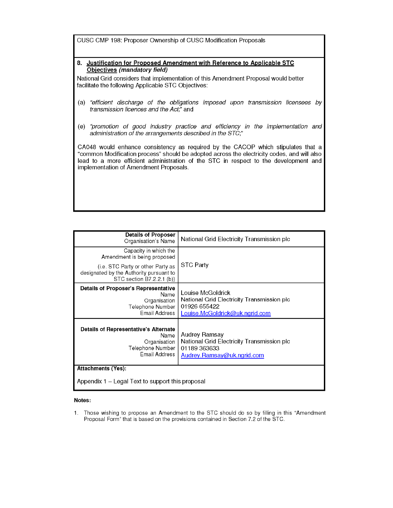CUSC CMP 198: Proposer Ownership of CUSC Modification Proposals

8. Justification for Proposed Amendment with Reference to Applicable STC Objectives (mandatory field)

National Grid considers that implementation of this Amendment Proposal would better facilitate the following Applicable STC Objectives:

- (a) "efficient discharge of the obligations imposed upon transmission licensees by transmission licences and the Act," and
- (e) "promotion of good industry practice and efficiency in the implementation and administration of the arrangements described in the STC;"

CA048 would enhance consistency as required by the CACOP which stipulates that a "common Modification process" should be adopted across the electricity codes, and will also lead to a more efficient administration of the STC in respect to the development and implementation of Amendment Proposals.

| <b>Details of Proposer</b><br>Organisation's Name                                                         | National Grid Electricity Transmission plc                                                                               |  |  |
|-----------------------------------------------------------------------------------------------------------|--------------------------------------------------------------------------------------------------------------------------|--|--|
| Capacity in which the<br>Amendment is being proposed                                                      | <b>STC Party</b>                                                                                                         |  |  |
| (i.e. STC Party or other Party as<br>designated by the Authority pursuant to<br>STC section B7.2.2.1 (b)) |                                                                                                                          |  |  |
| Details of Proposer's Representative<br>Name<br>Organisation<br>Telephone Number<br>Email Address         | Louise McGoldrick<br>National Grid Electricity Transmission plc<br>01926 655422<br><u>Louise.McGoldrick@uk.ngrid.com</u> |  |  |
| Details of Representative's Alternate<br>Name<br>Organisation<br>Telephone Number<br>Email Address        | Audrey Ramsay<br>National Grid Electricity Transmission plc<br>01189 363633<br>Audrey.Ramsay@uk.ngrid.com                |  |  |
| <b>Attachments (Yes):</b>                                                                                 |                                                                                                                          |  |  |
| Appendix 1 – Legal Text to support this proposal                                                          |                                                                                                                          |  |  |

#### Notes:

Those wishing to propose an Amendment to the STC should do so by filling in this "Amendment  $1.$ Proposal Form" that is based on the provisions contained in Section 7.2 of the STC.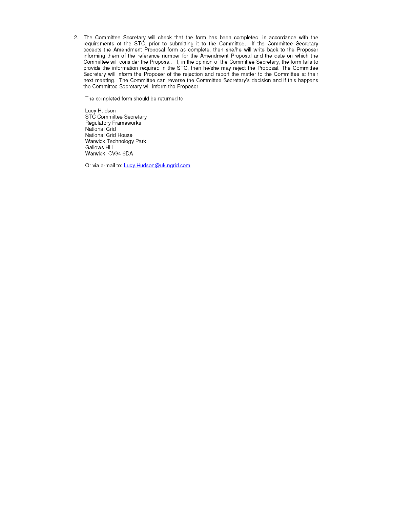2. The Committee Secretary will check that the form has been completed, in accordance with the requirements of the STC, prior to submitting it to the Committee. If the Committee Secretary accepts the Amendment Proposal form as complete, then she/he will write back to the Proposer informing them of the reference number for the Amendment Proposal and the date on which the Committee will consider the Proposal. If, in the opinion of the Committee Secretary, the form fails to provide the information required in the STC, then he/she may reject the Proposal. The Committee Secretary will inform the Proposer of the rejection and report the matter to the Committee at their next meeting. The Committee can reverse the Committee Secretary's decision and if this happens the Committee Secretary will inform the Proposer.

The completed form should be returned to:

Lucy Hudson STC Committee Secretary Regulatory Frameworks National Grid National Grid House Warwick Technology Park Gallows Hill Warwick, CV34 6DA

Or via e-mail to: Lucy.Hudson@uk.ngrid.com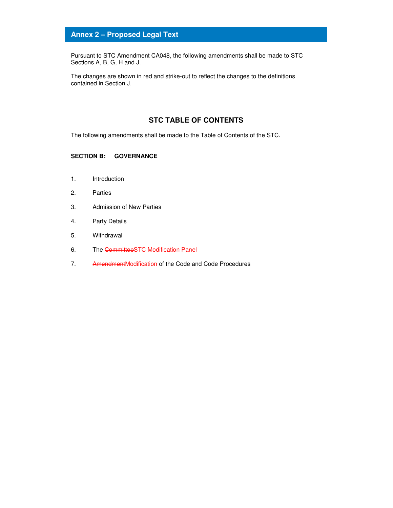# **Annex 2 – Proposed Legal Text**

Pursuant to STC Amendment CA048, the following amendments shall be made to STC Sections A, B, G, H and J.

The changes are shown in red and strike-out to reflect the changes to the definitions contained in Section J.

### **STC TABLE OF CONTENTS**

The following amendments shall be made to the Table of Contents of the STC.

#### **SECTION B: GOVERNANCE**

- 1. Introduction
- 2. Parties
- 3. Admission of New Parties
- 4. Party Details
- 5. Withdrawal
- 6. The CommitteeSTC Modification Panel
- 7. AmendmentModification of the Code and Code Procedures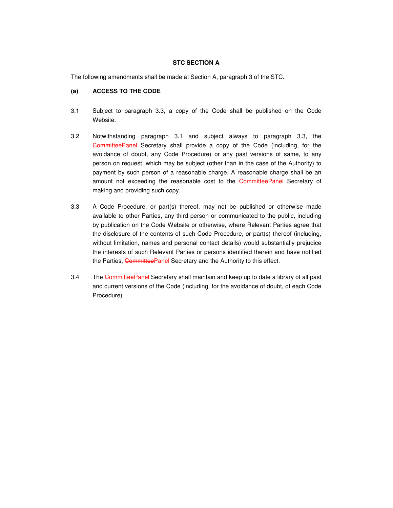#### **STC SECTION A**

The following amendments shall be made at Section A, paragraph 3 of the STC.

#### **(a) ACCESS TO THE CODE**

- 3.1 Subject to paragraph 3.3, a copy of the Code shall be published on the Code Website.
- 3.2 Notwithstanding paragraph 3.1 and subject always to paragraph 3.3, the CommitteePanel Secretary shall provide a copy of the Code (including, for the avoidance of doubt, any Code Procedure) or any past versions of same, to any person on request, which may be subject (other than in the case of the Authority) to payment by such person of a reasonable charge. A reasonable charge shall be an amount not exceeding the reasonable cost to the CommitteePanel Secretary of making and providing such copy.
- 3.3 A Code Procedure, or part(s) thereof, may not be published or otherwise made available to other Parties, any third person or communicated to the public, including by publication on the Code Website or otherwise, where Relevant Parties agree that the disclosure of the contents of such Code Procedure, or part(s) thereof (including, without limitation, names and personal contact details) would substantially prejudice the interests of such Relevant Parties or persons identified therein and have notified the Parties, CommitteePanel Secretary and the Authority to this effect.
- 3.4 The CommitteePanel Secretary shall maintain and keep up to date a library of all past and current versions of the Code (including, for the avoidance of doubt, of each Code Procedure).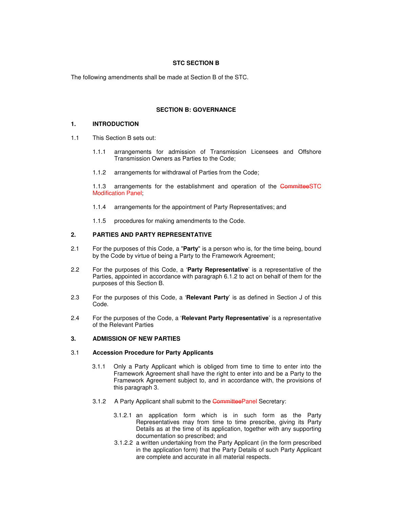#### **STC SECTION B**

The following amendments shall be made at Section B of the STC.

#### **SECTION B: GOVERNANCE**

#### **1. INTRODUCTION**

- 1.1 This Section B sets out:
	- 1.1.1 arrangements for admission of Transmission Licensees and Offshore Transmission Owners as Parties to the Code;
	- 1.1.2 arrangements for withdrawal of Parties from the Code;

1.1.3 arrangements for the establishment and operation of the CommitteeSTC Modification Panel;

- 1.1.4 arrangements for the appointment of Party Representatives; and
- 1.1.5 procedures for making amendments to the Code.

#### **2. PARTIES AND PARTY REPRESENTATIVE**

- 2.1 For the purposes of this Code, a "**Party**" is a person who is, for the time being, bound by the Code by virtue of being a Party to the Framework Agreement;
- 2.2 For the purposes of this Code, a '**Party Representative**' is a representative of the Parties, appointed in accordance with paragraph 6.1.2 to act on behalf of them for the purposes of this Section B.
- 2.3 For the purposes of this Code, a '**Relevant Party**' is as defined in Section J of this Code.
- 2.4 For the purposes of the Code, a '**Relevant Party Representative**' is a representative of the Relevant Parties

#### **3. ADMISSION OF NEW PARTIES**

#### 3.1 **Accession Procedure for Party Applicants**

- 3.1.1 Only a Party Applicant which is obliged from time to time to enter into the Framework Agreement shall have the right to enter into and be a Party to the Framework Agreement subject to, and in accordance with, the provisions of this paragraph 3.
- 3.1.2 A Party Applicant shall submit to the CommitteePanel Secretary:
	- 3.1.2.1 an application form which is in such form as the Party Representatives may from time to time prescribe, giving its Party Details as at the time of its application, together with any supporting documentation so prescribed; and
	- 3.1.2.2 a written undertaking from the Party Applicant (in the form prescribed in the application form) that the Party Details of such Party Applicant are complete and accurate in all material respects.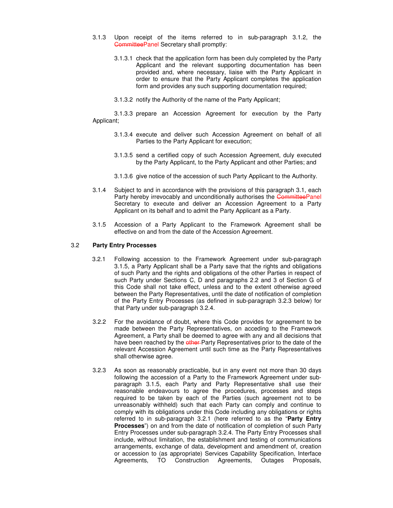- 3.1.3 Upon receipt of the items referred to in sub-paragraph 3.1.2, the CommitteePanel Secretary shall promptly:
	- 3.1.3.1 check that the application form has been duly completed by the Party Applicant and the relevant supporting documentation has been provided and, where necessary, liaise with the Party Applicant in order to ensure that the Party Applicant completes the application form and provides any such supporting documentation required;
	- 3.1.3.2 notify the Authority of the name of the Party Applicant;

3.1.3.3 prepare an Accession Agreement for execution by the Party Applicant;

- 3.1.3.4 execute and deliver such Accession Agreement on behalf of all Parties to the Party Applicant for execution;
- 3.1.3.5 send a certified copy of such Accession Agreement, duly executed by the Party Applicant, to the Party Applicant and other Parties; and
- 3.1.3.6 give notice of the accession of such Party Applicant to the Authority.
- 3.1.4 Subject to and in accordance with the provisions of this paragraph 3.1, each Party hereby irrevocably and unconditionally authorises the CommitteePanel Secretary to execute and deliver an Accession Agreement to a Party Applicant on its behalf and to admit the Party Applicant as a Party.
- 3.1.5 Accession of a Party Applicant to the Framework Agreement shall be effective on and from the date of the Accession Agreement.

#### 3.2 **Party Entry Processes**

- 3.2.1 Following accession to the Framework Agreement under sub-paragraph 3.1.5, a Party Applicant shall be a Party save that the rights and obligations of such Party and the rights and obligations of the other Parties in respect of such Party under Sections C, D and paragraphs 2.2 and 3 of Section G of this Code shall not take effect, unless and to the extent otherwise agreed between the Party Representatives, until the date of notification of completion of the Party Entry Processes (as defined in sub-paragraph 3.2.3 below) for that Party under sub-paragraph 3.2.4.
- 3.2.2 For the avoidance of doubt, where this Code provides for agreement to be made between the Party Representatives, on acceding to the Framework Agreement, a Party shall be deemed to agree with any and all decisions that have been reached by the other Party Representatives prior to the date of the relevant Accession Agreement until such time as the Party Representatives shall otherwise agree.
- 3.2.3 As soon as reasonably practicable, but in any event not more than 30 days following the accession of a Party to the Framework Agreement under subparagraph 3.1.5, each Party and Party Representative shall use their reasonable endeavours to agree the procedures, processes and steps required to be taken by each of the Parties (such agreement not to be unreasonably withheld) such that each Party can comply and continue to comply with its obligations under this Code including any obligations or rights referred to in sub-paragraph 3.2.1 (here referred to as the "**Party Entry Processes**") on and from the date of notification of completion of such Party Entry Processes under sub-paragraph 3.2.4. The Party Entry Processes shall include, without limitation, the establishment and testing of communications arrangements, exchange of data, development and amendment of, creation or accession to (as appropriate) Services Capability Specification, Interface Agreements, TO Construction Agreements, Outages Proposals,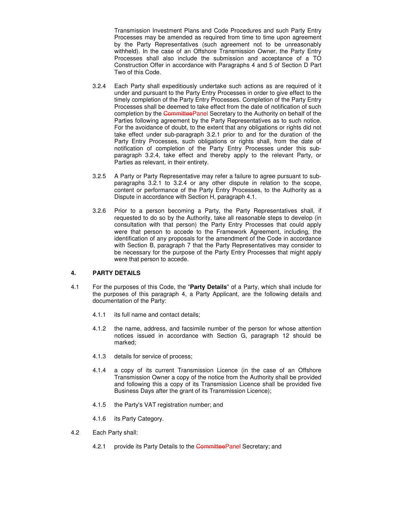Transmission Investment Plans and Code Procedures and such Party Entry Processes may be amended as required from time to time upon agreement by the Party Representatives (such agreement not to be unreasonably withheld). In the case of an Offshore Transmission Owner, the Party Entry Processes shall also include the submission and acceptance of a TO Construction Offer in accordance with Paragraphs 4 and 5 of Section D Part Two of this Code.

- 3.2.4 Each Party shall expeditiously undertake such actions as are required of it under and pursuant to the Party Entry Processes in order to give effect to the timely completion of the Party Entry Processes. Completion of the Party Entry Processes shall be deemed to take effect from the date of notification of such completion by the CommitteePanel Secretary to the Authority on behalf of the Parties following agreement by the Party Representatives as to such notice. For the avoidance of doubt, to the extent that any obligations or rights did not take effect under sub-paragraph 3.2.1 prior to and for the duration of the Party Entry Processes, such obligations or rights shall, from the date of notification of completion of the Party Entry Processes under this subparagraph 3.2.4, take effect and thereby apply to the relevant Party, or Parties as relevant, in their entirety.
- 3.2.5 A Party or Party Representative may refer a failure to agree pursuant to subparagraphs 3.2.1 to 3.2.4 or any other dispute in relation to the scope, content or performance of the Party Entry Processes, to the Authority as a Dispute in accordance with Section H, paragraph 4.1.
- 3.2.6 Prior to a person becoming a Party, the Party Representatives shall, if requested to do so by the Authority, take all reasonable steps to develop (in consultation with that person) the Party Entry Processes that could apply were that person to accede to the Framework Agreement, including, the identification of any proposals for the amendment of the Code in accordance with Section B, paragraph 7 that the Party Representatives may consider to be necessary for the purpose of the Party Entry Processes that might apply were that person to accede.

#### **4. PARTY DETAILS**

- 4.1 For the purposes of this Code, the "**Party Details**" of a Party, which shall include for the purposes of this paragraph 4, a Party Applicant, are the following details and documentation of the Party:
	- 4.1.1 its full name and contact details;
	- 4.1.2 the name, address, and facsimile number of the person for whose attention notices issued in accordance with Section G, paragraph 12 should be marked;
	- 4.1.3 details for service of process;
	- 4.1.4 a copy of its current Transmission Licence (in the case of an Offshore Transmission Owner a copy of the notice from the Authority shall be provided and following this a copy of its Transmission Licence shall be provided five Business Days after the grant of its Transmission Licence);
	- 4.1.5 the Party's VAT registration number; and
	- 4.1.6 its Party Category.
- 4.2 Each Party shall:
	- 4.2.1 provide its Party Details to the CommitteePanel Secretary; and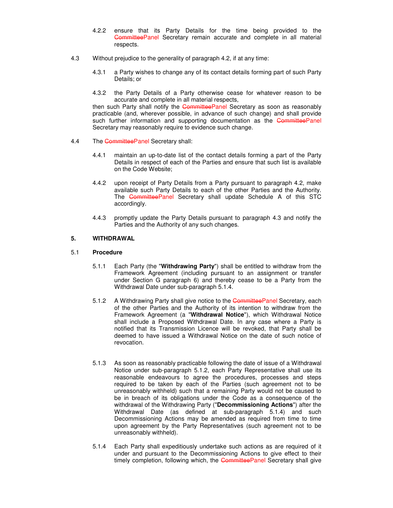- 4.2.2 ensure that its Party Details for the time being provided to the CommitteePanel Secretary remain accurate and complete in all material respects.
- 4.3 Without prejudice to the generality of paragraph 4.2, if at any time:
	- 4.3.1 a Party wishes to change any of its contact details forming part of such Party Details; or
	- 4.3.2 the Party Details of a Party otherwise cease for whatever reason to be accurate and complete in all material respects,

then such Party shall notify the CommitteePanel Secretary as soon as reasonably practicable (and, wherever possible, in advance of such change) and shall provide such further information and supporting documentation as the CommitteePanel Secretary may reasonably require to evidence such change.

- 4.4 The CommitteePanel Secretary shall:
	- 4.4.1 maintain an up-to-date list of the contact details forming a part of the Party Details in respect of each of the Parties and ensure that such list is available on the Code Website;
	- 4.4.2 upon receipt of Party Details from a Party pursuant to paragraph 4.2, make available such Party Details to each of the other Parties and the Authority. The CommitteePanel Secretary shall update Schedule A of this STC accordingly.
	- 4.4.3 promptly update the Party Details pursuant to paragraph 4.3 and notify the Parties and the Authority of any such changes.

#### **5. WITHDRAWAL**

#### 5.1 **Procedure**

- 5.1.1 Each Party (the "**Withdrawing Party**") shall be entitled to withdraw from the Framework Agreement (including pursuant to an assignment or transfer under Section G paragraph 6) and thereby cease to be a Party from the Withdrawal Date under sub-paragraph 5.1.4.
- 5.1.2 A Withdrawing Party shall give notice to the CommitteePanel Secretary, each of the other Parties and the Authority of its intention to withdraw from the Framework Agreement (a "**Withdrawal Notice**"), which Withdrawal Notice shall include a Proposed Withdrawal Date. In any case where a Party is notified that its Transmission Licence will be revoked, that Party shall be deemed to have issued a Withdrawal Notice on the date of such notice of revocation.
- 5.1.3 As soon as reasonably practicable following the date of issue of a Withdrawal Notice under sub-paragraph 5.1.2, each Party Representative shall use its reasonable endeavours to agree the procedures, processes and steps required to be taken by each of the Parties (such agreement not to be unreasonably withheld) such that a remaining Party would not be caused to be in breach of its obligations under the Code as a consequence of the withdrawal of the Withdrawing Party ("**Decommissioning Actions**") after the Withdrawal Date (as defined at sub-paragraph 5.1.4) and such Decommissioning Actions may be amended as required from time to time upon agreement by the Party Representatives (such agreement not to be unreasonably withheld).
- 5.1.4 Each Party shall expeditiously undertake such actions as are required of it under and pursuant to the Decommissioning Actions to give effect to their timely completion, following which, the CommitteePanel Secretary shall give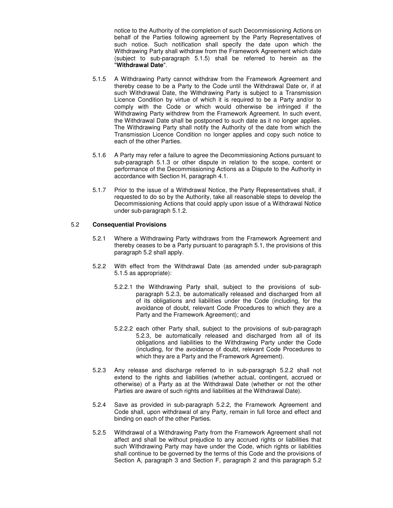notice to the Authority of the completion of such Decommissioning Actions on behalf of the Parties following agreement by the Party Representatives of such notice. Such notification shall specify the date upon which the Withdrawing Party shall withdraw from the Framework Agreement which date (subject to sub-paragraph 5.1.5) shall be referred to herein as the "**Withdrawal Date**".

- 5.1.5 A Withdrawing Party cannot withdraw from the Framework Agreement and thereby cease to be a Party to the Code until the Withdrawal Date or, if at such Withdrawal Date, the Withdrawing Party is subject to a Transmission Licence Condition by virtue of which it is required to be a Party and/or to comply with the Code or which would otherwise be infringed if the Withdrawing Party withdrew from the Framework Agreement. In such event, the Withdrawal Date shall be postponed to such date as it no longer applies. The Withdrawing Party shall notify the Authority of the date from which the Transmission Licence Condition no longer applies and copy such notice to each of the other Parties.
- 5.1.6 A Party may refer a failure to agree the Decommissioning Actions pursuant to sub-paragraph 5.1.3 or other dispute in relation to the scope, content or performance of the Decommissioning Actions as a Dispute to the Authority in accordance with Section H, paragraph 4.1.
- 5.1.7 Prior to the issue of a Withdrawal Notice, the Party Representatives shall, if requested to do so by the Authority, take all reasonable steps to develop the Decommissioning Actions that could apply upon issue of a Withdrawal Notice under sub-paragraph 5.1.2.

#### 5.2 **Consequential Provisions**

- 5.2.1 Where a Withdrawing Party withdraws from the Framework Agreement and thereby ceases to be a Party pursuant to paragraph 5.1, the provisions of this paragraph 5.2 shall apply.
- 5.2.2 With effect from the Withdrawal Date (as amended under sub-paragraph 5.1.5 as appropriate):
	- 5.2.2.1 the Withdrawing Party shall, subject to the provisions of subparagraph 5.2.3, be automatically released and discharged from all of its obligations and liabilities under the Code (including, for the avoidance of doubt, relevant Code Procedures to which they are a Party and the Framework Agreement); and
	- 5.2.2.2 each other Party shall, subject to the provisions of sub-paragraph 5.2.3, be automatically released and discharged from all of its obligations and liabilities to the Withdrawing Party under the Code (including, for the avoidance of doubt, relevant Code Procedures to which they are a Party and the Framework Agreement).
- 5.2.3 Any release and discharge referred to in sub-paragraph 5.2.2 shall not extend to the rights and liabilities (whether actual, contingent, accrued or otherwise) of a Party as at the Withdrawal Date (whether or not the other Parties are aware of such rights and liabilities at the Withdrawal Date).
- 5.2.4 Save as provided in sub-paragraph 5.2.2, the Framework Agreement and Code shall, upon withdrawal of any Party, remain in full force and effect and binding on each of the other Parties.
- 5.2.5 Withdrawal of a Withdrawing Party from the Framework Agreement shall not affect and shall be without prejudice to any accrued rights or liabilities that such Withdrawing Party may have under the Code, which rights or liabilities shall continue to be governed by the terms of this Code and the provisions of Section A, paragraph 3 and Section F, paragraph 2 and this paragraph 5.2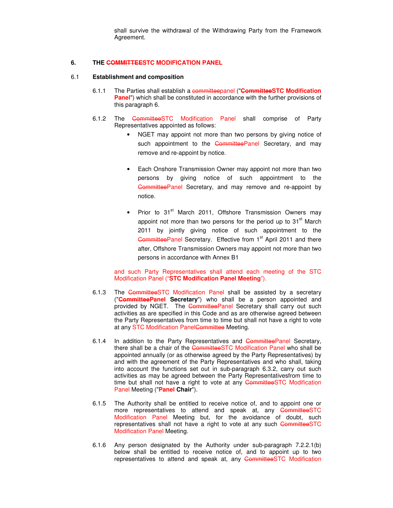shall survive the withdrawal of the Withdrawing Party from the Framework Agreement.

#### **6. THE COMMITTEESTC MODIFICATION PANEL**

#### 6.1 **Establishment and composition**

- 6.1.1 The Parties shall establish a committeepanel ("**CommitteeSTC Modification Panel**") which shall be constituted in accordance with the further provisions of this paragraph 6.
- 6.1.2 The CommitteeSTC Modification Panel shall comprise of Party Representatives appointed as follows:
	- NGET may appoint not more than two persons by giving notice of such appointment to the CommitteePanel Secretary, and may remove and re-appoint by notice.
	- Each Onshore Transmission Owner may appoint not more than two persons by giving notice of such appointment to the CommitteePanel Secretary, and may remove and re-appoint by notice.
	- Prior to 31<sup>st</sup> March 2011, Offshore Transmission Owners may appoint not more than two persons for the period up to  $31<sup>st</sup>$  March 2011 by jointly giving notice of such appointment to the CommitteePanel Secretary. Effective from 1<sup>st</sup> April 2011 and there after, Offshore Transmission Owners may appoint not more than two persons in accordance with Annex B1

#### and such Party Representatives shall attend each meeting of the STC Modification Panel ("**STC Modification Panel Meeting**").

- 6.1.3 The CommitteeSTC Modification Panel shall be assisted by a secretary ("**CommitteePanel Secretary**") who shall be a person appointed and provided by NGET. The CommitteePanel Secretary shall carry out such activities as are specified in this Code and as are otherwise agreed between the Party Representatives from time to time but shall not have a right to vote at any STC Modification PanelCommittee Meeting.
- 6.1.4 In addition to the Party Representatives and CommitteePanel Secretary, there shall be a chair of the CommitteeSTC Modification Panel who shall be appointed annually (or as otherwise agreed by the Party Representatives) by and with the agreement of the Party Representatives and who shall, taking into account the functions set out in sub-paragraph 6.3.2, carry out such activities as may be agreed between the Party Representativesfrom time to time but shall not have a right to vote at any CommitteeSTC Modification Panel Meeting ("**Panel Chair**").
- 6.1.5 The Authority shall be entitled to receive notice of, and to appoint one or more representatives to attend and speak at, any CommitteeSTC Modification Panel Meeting but, for the avoidance of doubt, such representatives shall not have a right to vote at any such CommitteeSTC Modification Panel Meeting.
- 6.1.6 Any person designated by the Authority under sub-paragraph 7.2.2.1(b) below shall be entitled to receive notice of, and to appoint up to two representatives to attend and speak at, any CommitteeSTC Modification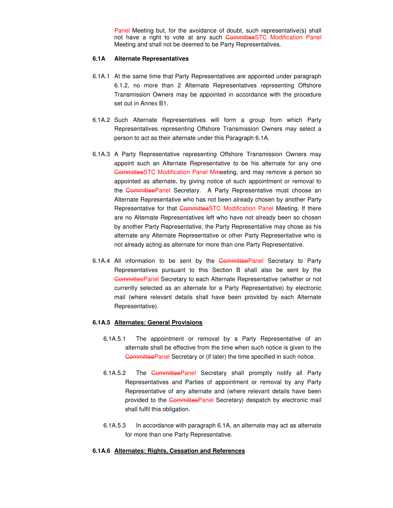Panel Meeting but, for the avoidance of doubt, such representative(s) shall not have a right to vote at any such CommitteeSTC Modification Panel Meeting and shall not be deemed to be Party Representatives.

#### **6.1A Alternate Representatives**

- 6.1A.1 At the same time that Party Representatives are appointed under paragraph 6.1.2, no more than 2 Alternate Representatives representing Offshore Transmission Owners may be appointed in accordance with the procedure set out in Annex B1.
- 6.1A.2 Such Alternate Representatives will form a group from which Party Representatives representing Offshore Transmission Owners may select a person to act as their alternate under this Paragraph 6.1A.
- 6.1A.3 A Party Representative representing Offshore Transmission Owners may appoint such an Alternate Representative to be his alternate for any one CommitteeSTC Modification Panel Mmeeting, and may remove a person so appointed as alternate, by giving notice of such appointment or removal to the CommitteePanel Secretary. A Party Representative must choose an Alternate Representative who has not been already chosen by another Party Representative for that CommitteeSTC Modification Panel Meeting. If there are no Alternate Representatives left who have not already been so chosen by another Party Representative, the Party Representative may chose as his alternate any Alternate Representative or other Party Representative who is not already acting as alternate for more than one Party Representative.
- 6.1A.4 All information to be sent by the CommitteePanel Secretary to Party Representatives pursuant to this Section B shall also be sent by the CommitteePanel Secretary to each Alternate Representative (whether or not currently selected as an alternate for a Party Representative) by electronic mail (where relevant details shall have been provided by each Alternate Representative).

#### **6.1A.5 Alternates: General Provisions**

- 6.1A.5.1 The appointment or removal by a Party Representative of an alternate shall be effective from the time when such notice is given to the CommitteePanel Secretary or (if later) the time specified in such notice.
- 6.1A.5.2 The CommitteePanel Secretary shall promptly notify all Party Representatives and Parties of appointment or removal by any Party Representative of any alternate and (where relevant details have been provided to the CommitteePanel Secretary) despatch by electronic mail shall fulfil this obligation.
- 6.1A.5.3 In accordance with paragraph 6.1A, an alternate may act as alternate for more than one Party Representative.

#### **6.1A.6 Alternates: Rights, Cessation and References**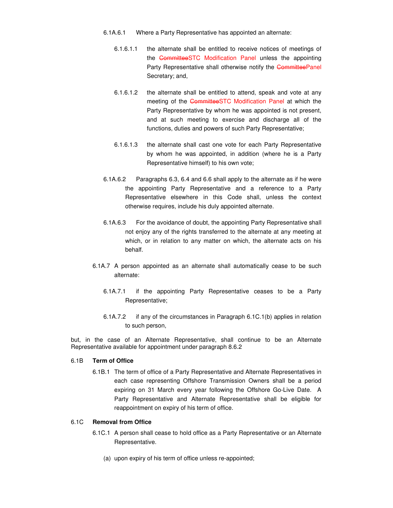- 6.1A.6.1 Where a Party Representative has appointed an alternate:
	- 6.1.6.1.1 the alternate shall be entitled to receive notices of meetings of the CommitteeSTC Modification Panel unless the appointing Party Representative shall otherwise notify the CommitteePanel Secretary; and,
	- 6.1.6.1.2 the alternate shall be entitled to attend, speak and vote at any meeting of the CommitteeSTC Modification Panel at which the Party Representative by whom he was appointed is not present, and at such meeting to exercise and discharge all of the functions, duties and powers of such Party Representative;
	- 6.1.6.1.3 the alternate shall cast one vote for each Party Representative by whom he was appointed, in addition (where he is a Party Representative himself) to his own vote;
- 6.1A.6.2 Paragraphs 6.3, 6.4 and 6.6 shall apply to the alternate as if he were the appointing Party Representative and a reference to a Party Representative elsewhere in this Code shall, unless the context otherwise requires, include his duly appointed alternate.
- 6.1A.6.3 For the avoidance of doubt, the appointing Party Representative shall not enjoy any of the rights transferred to the alternate at any meeting at which, or in relation to any matter on which, the alternate acts on his behalf.
- 6.1A.7 A person appointed as an alternate shall automatically cease to be such alternate:
	- 6.1A.7.1 if the appointing Party Representative ceases to be a Party Representative;
	- 6.1A.7.2 if any of the circumstances in Paragraph 6.1C.1(b) applies in relation to such person,

but, in the case of an Alternate Representative, shall continue to be an Alternate Representative available for appointment under paragraph 8.6.2

#### 6.1B **Term of Office**

6.1B.1 The term of office of a Party Representative and Alternate Representatives in each case representing Offshore Transmission Owners shall be a period expiring on 31 March every year following the Offshore Go-Live Date. A Party Representative and Alternate Representative shall be eligible for reappointment on expiry of his term of office.

#### 6.1C **Removal from Office**

- 6.1C.1 A person shall cease to hold office as a Party Representative or an Alternate Representative.
	- (a) upon expiry of his term of office unless re-appointed;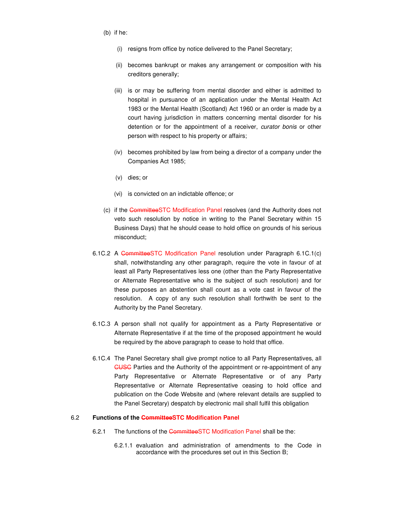- (b) if he:
	- (i) resigns from office by notice delivered to the Panel Secretary;
	- (ii) becomes bankrupt or makes any arrangement or composition with his creditors generally;
	- (iii) is or may be suffering from mental disorder and either is admitted to hospital in pursuance of an application under the Mental Health Act 1983 or the Mental Health (Scotland) Act 1960 or an order is made by a court having jurisdiction in matters concerning mental disorder for his detention or for the appointment of a receiver, curator bonis or other person with respect to his property or affairs;
	- (iv) becomes prohibited by law from being a director of a company under the Companies Act 1985;
	- (v) dies; or
	- (vi) is convicted on an indictable offence; or
- (c) if the CommitteeSTC Modification Panel resolves (and the Authority does not veto such resolution by notice in writing to the Panel Secretary within 15 Business Days) that he should cease to hold office on grounds of his serious misconduct;
- 6.1C.2 A CommitteeSTC Modification Panel resolution under Paragraph 6.1C.1(c) shall, notwithstanding any other paragraph, require the vote in favour of at least all Party Representatives less one (other than the Party Representative or Alternate Representative who is the subject of such resolution) and for these purposes an abstention shall count as a vote cast in favour of the resolution. A copy of any such resolution shall forthwith be sent to the Authority by the Panel Secretary.
- 6.1C.3 A person shall not qualify for appointment as a Party Representative or Alternate Representative if at the time of the proposed appointment he would be required by the above paragraph to cease to hold that office.
- 6.1C.4 The Panel Secretary shall give prompt notice to all Party Representatives, all **CUSC** Parties and the Authority of the appointment or re-appointment of any Party Representative or Alternate Representative or of any Party Representative or Alternate Representative ceasing to hold office and publication on the Code Website and (where relevant details are supplied to the Panel Secretary) despatch by electronic mail shall fulfil this obligation

#### 6.2 **Functions of the CommitteeSTC Modification Panel**

- 6.2.1 The functions of the CommitteeSTC Modification Panel shall be the:
	- 6.2.1.1 evaluation and administration of amendments to the Code in accordance with the procedures set out in this Section B;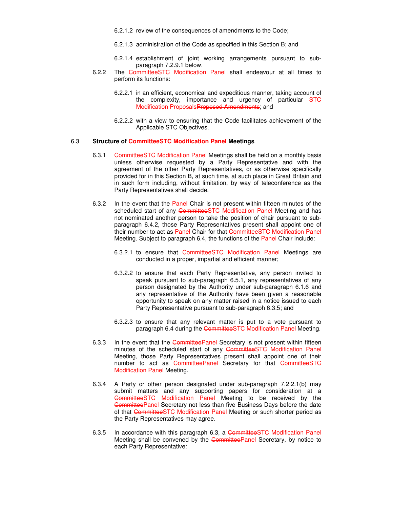6.2.1.2 review of the consequences of amendments to the Code;

- 6.2.1.3 administration of the Code as specified in this Section B; and
- 6.2.1.4 establishment of joint working arrangements pursuant to subparagraph 7.2.9.1 below.
- 6.2.2 The CommitteeSTC Modification Panel shall endeavour at all times to perform its functions:
	- 6.2.2.1 in an efficient, economical and expeditious manner, taking account of the complexity, importance and urgency of particular STC Modification ProposalsProposed Amendments; and
	- 6.2.2.2 with a view to ensuring that the Code facilitates achievement of the Applicable STC Objectives.

#### 6.3 **Structure of CommitteeSTC Modification Panel Meetings**

- 6.3.1 CommitteeSTC Modification Panel Meetings shall be held on a monthly basis unless otherwise requested by a Party Representative and with the agreement of the other Party Representatives, or as otherwise specifically provided for in this Section B, at such time, at such place in Great Britain and in such form including, without limitation, by way of teleconference as the Party Representatives shall decide.
- 6.3.2 In the event that the Panel Chair is not present within fifteen minutes of the scheduled start of any CommitteeSTC Modification Panel Meeting and has not nominated another person to take the position of chair pursuant to subparagraph 6.4.2, those Party Representatives present shall appoint one of their number to act as Panel Chair for that CommitteeSTC Modification Panel Meeting. Subject to paragraph 6.4, the functions of the Panel Chair include:
	- 6.3.2.1 to ensure that CommitteeSTC Modification Panel Meetings are conducted in a proper, impartial and efficient manner;
	- 6.3.2.2 to ensure that each Party Representative, any person invited to speak pursuant to sub-paragraph 6.5.1, any representatives of any person designated by the Authority under sub-paragraph 6.1.6 and any representative of the Authority have been given a reasonable opportunity to speak on any matter raised in a notice issued to each Party Representative pursuant to sub-paragraph 6.3.5; and
	- 6.3.2.3 to ensure that any relevant matter is put to a vote pursuant to paragraph 6.4 during the CommitteeSTC Modification Panel Meeting.
- 6.3.3 In the event that the CommitteePanel Secretary is not present within fifteen minutes of the scheduled start of any CommitteeSTC Modification Panel Meeting, those Party Representatives present shall appoint one of their number to act as CommitteePanel Secretary for that CommitteeSTC Modification Panel Meeting.
- 6.3.4 A Party or other person designated under sub-paragraph 7.2.2.1(b) may submit matters and any supporting papers for consideration at a CommitteeSTC Modification Panel Meeting to be received by the CommitteePanel Secretary not less than five Business Days before the date of that CommitteeSTC Modification Panel Meeting or such shorter period as the Party Representatives may agree.
- 6.3.5 In accordance with this paragraph 6.3, a CommitteeSTC Modification Panel Meeting shall be convened by the CommitteePanel Secretary, by notice to each Party Representative: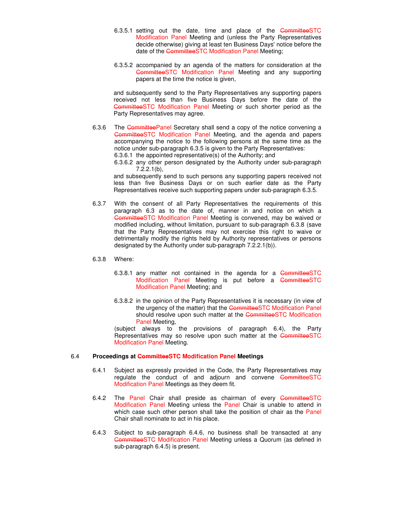- 6.3.5.1 setting out the date, time and place of the CommitteeSTC Modification Panel Meeting and (unless the Party Representatives decide otherwise) giving at least ten Business Days' notice before the date of the CommitteeSTC Modification Panel Meeting;
- 6.3.5.2 accompanied by an agenda of the matters for consideration at the CommitteeSTC Modification Panel Meeting and any supporting papers at the time the notice is given,

and subsequently send to the Party Representatives any supporting papers received not less than five Business Days before the date of the CommitteeSTC Modification Panel Meeting or such shorter period as the Party Representatives may agree.

6.3.6 The CommitteePanel Secretary shall send a copy of the notice convening a CommitteeSTC Modification Panel Meeting, and the agenda and papers accompanying the notice to the following persons at the same time as the notice under sub-paragraph 6.3.5 is given to the Party Representatives: 6.3.6.1 the appointed representative(s) of the Authority; and

6.3.6.2 any other person designated by the Authority under sub-paragraph

7.2.2.1(b),

 and subsequently send to such persons any supporting papers received not less than five Business Days or on such earlier date as the Party Representatives receive such supporting papers under sub-paragraph 6.3.5.

6.3.7 With the consent of all Party Representatives the requirements of this paragraph 6.3 as to the date of, manner in and notice on which a CommitteeSTC Modification Panel Meeting is convened, may be waived or modified including, without limitation, pursuant to sub-paragraph 6.3.8 (save that the Party Representatives may not exercise this right to waive or detrimentally modify the rights held by Authority representatives or persons designated by the Authority under sub-paragraph 7.2.2.1(b)).

#### 6.3.8 Where:

- 6.3.8.1 any matter not contained in the agenda for a CommitteeSTC Modification Panel Meeting is put before a CommitteeSTC Modification Panel Meeting; and
- 6.3.8.2 in the opinion of the Party Representatives it is necessary (in view of the urgency of the matter) that the CommitteeSTC Modification Panel should resolve upon such matter at the CommitteeSTC Modification Panel Meeting,

(subject always to the provisions of paragraph 6.4), the Party Representatives may so resolve upon such matter at the CommitteeSTC Modification Panel Meeting.

#### 6.4 **Proceedings at CommitteeSTC Modification Panel Meetings**

- 6.4.1 Subject as expressly provided in the Code, the Party Representatives may regulate the conduct of and adjourn and convene CommitteeSTC Modification Panel Meetings as they deem fit.
- 6.4.2 The Panel Chair shall preside as chairman of every CommitteeSTC Modification Panel Meeting unless the Panel Chair is unable to attend in which case such other person shall take the position of chair as the Panel Chair shall nominate to act in his place.
- 6.4.3 Subject to sub-paragraph 6.4.6, no business shall be transacted at any CommitteeSTC Modification Panel Meeting unless a Quorum (as defined in sub-paragraph 6.4.5) is present.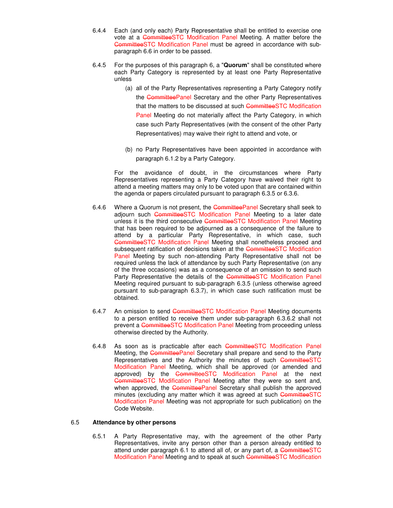- 6.4.4 Each (and only each) Party Representative shall be entitled to exercise one vote at a CommitteeSTC Modification Panel Meeting. A matter before the CommitteeSTC Modification Panel must be agreed in accordance with subparagraph 6.6 in order to be passed.
- 6.4.5 For the purposes of this paragraph 6, a "**Quorum**" shall be constituted where each Party Category is represented by at least one Party Representative unless
	- (a) all of the Party Representatives representing a Party Category notify the CommitteePanel Secretary and the other Party Representatives that the matters to be discussed at such CommitteeSTC Modification Panel Meeting do not materially affect the Party Category, in which case such Party Representatives (with the consent of the other Party Representatives) may waive their right to attend and vote, or
	- (b) no Party Representatives have been appointed in accordance with paragraph 6.1.2 by a Party Category.

For the avoidance of doubt, in the circumstances where Party Representatives representing a Party Category have waived their right to attend a meeting matters may only to be voted upon that are contained within the agenda or papers circulated pursuant to paragraph 6.3.5 or 6.3.6.

- 6.4.6 Where a Quorum is not present, the CommitteePanel Secretary shall seek to adjourn such CommitteeSTC Modification Panel Meeting to a later date unless it is the third consecutive CommitteeSTC Modification Panel Meeting that has been required to be adjourned as a consequence of the failure to attend by a particular Party Representative, in which case, such CommitteeSTC Modification Panel Meeting shall nonetheless proceed and subsequent ratification of decisions taken at the CommitteeSTC Modification Panel Meeting by such non-attending Party Representative shall not be required unless the lack of attendance by such Party Representative (on any of the three occasions) was as a consequence of an omission to send such Party Representative the details of the CommitteeSTC Modification Panel Meeting required pursuant to sub-paragraph 6.3.5 (unless otherwise agreed pursuant to sub-paragraph 6.3.7), in which case such ratification must be obtained.
- 6.4.7 An omission to send CommitteeSTC Modification Panel Meeting documents to a person entitled to receive them under sub-paragraph 6.3.6.2 shall not prevent a CommitteeSTC Modification Panel Meeting from proceeding unless otherwise directed by the Authority.
- 6.4.8 As soon as is practicable after each CommitteeSTC Modification Panel Meeting, the CommitteePanel Secretary shall prepare and send to the Party Representatives and the Authority the minutes of such CommitteeSTC Modification Panel Meeting, which shall be approved (or amended and approved) by the CommitteeSTC Modification Panel at the next CommitteeSTC Modification Panel Meeting after they were so sent and, when approved, the CommitteePanel Secretary shall publish the approved minutes (excluding any matter which it was agreed at such CommitteeSTC Modification Panel Meeting was not appropriate for such publication) on the Code Website.

#### 6.5 **Attendance by other persons**

6.5.1 A Party Representative may, with the agreement of the other Party Representatives, invite any person other than a person already entitled to attend under paragraph 6.1 to attend all of, or any part of, a CommitteeSTC Modification Panel Meeting and to speak at such CommitteeSTC Modification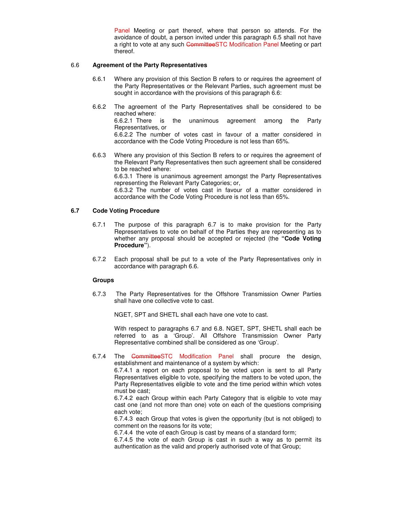Panel Meeting or part thereof, where that person so attends. For the avoidance of doubt, a person invited under this paragraph 6.5 shall not have a right to vote at any such CommitteeSTC Modification Panel Meeting or part thereof.

#### 6.6 **Agreement of the Party Representatives**

- 6.6.1 Where any provision of this Section B refers to or requires the agreement of the Party Representatives or the Relevant Parties, such agreement must be sought in accordance with the provisions of this paragraph 6.6:
- 6.6.2 The agreement of the Party Representatives shall be considered to be reached where: 6.6.2.1 There is the unanimous agreement among the Party Representatives, or 6.6.2.2 The number of votes cast in favour of a matter considered in accordance with the Code Voting Procedure is not less than 65%.
- 6.6.3 Where any provision of this Section B refers to or requires the agreement of the Relevant Party Representatives then such agreement shall be considered to be reached where:

6.6.3.1 There is unanimous agreement amongst the Party Representatives representing the Relevant Party Categories; or,

6.6.3.2 The number of votes cast in favour of a matter considered in accordance with the Code Voting Procedure is not less than 65%.

#### **6.7 Code Voting Procedure**

- 6.7.1 The purpose of this paragraph 6.7 is to make provision for the Party Representatives to vote on behalf of the Parties they are representing as to whether any proposal should be accepted or rejected (the **"Code Voting Procedure"**).
- 6.7.2 Each proposal shall be put to a vote of the Party Representatives only in accordance with paragraph 6.6.

#### **Groups**

6.7.3 The Party Representatives for the Offshore Transmission Owner Parties shall have one collective vote to cast.

NGET, SPT and SHETL shall each have one vote to cast.

With respect to paragraphs 6.7 and 6.8. NGET, SPT, SHETL shall each be referred to as a 'Group'. All Offshore Transmission Owner Party Representative combined shall be considered as one 'Group'.

6.7.4 The **CommitteeSTC** Modification Panel shall procure the design, establishment and maintenance of a system by which:

6.7.4.1 a report on each proposal to be voted upon is sent to all Party Representatives eligible to vote, specifying the matters to be voted upon, the Party Representatives eligible to vote and the time period within which votes must be cast;

6.7.4.2 each Group within each Party Category that is eligible to vote may cast one (and not more than one) vote on each of the questions comprising each vote;

6.7.4.3 each Group that votes is given the opportunity (but is not obliged) to comment on the reasons for its vote;

6.7.4.4 the vote of each Group is cast by means of a standard form;

6.7.4.5 the vote of each Group is cast in such a way as to permit its authentication as the valid and properly authorised vote of that Group;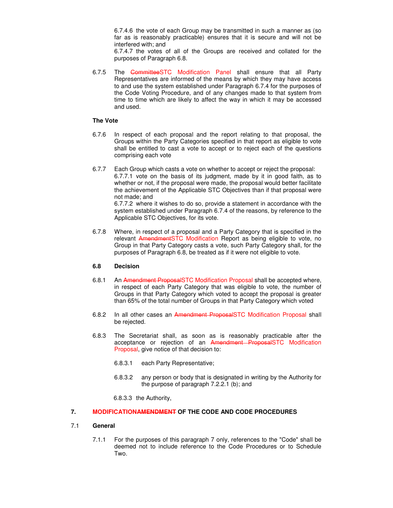6.7.4.6 the vote of each Group may be transmitted in such a manner as (so far as is reasonably practicable) ensures that it is secure and will not be interfered with; and

6.7.4.7 the votes of all of the Groups are received and collated for the purposes of Paragraph 6.8.

6.7.5 The CommitteeSTC Modification Panel shall ensure that all Party Representatives are informed of the means by which they may have access to and use the system established under Paragraph 6.7.4 for the purposes of the Code Voting Procedure, and of any changes made to that system from time to time which are likely to affect the way in which it may be accessed and used.

#### **The Vote**

- 6.7.6 In respect of each proposal and the report relating to that proposal, the Groups within the Party Categories specified in that report as eligible to vote shall be entitled to cast a vote to accept or to reject each of the questions comprising each vote
- 6.7.7 Each Group which casts a vote on whether to accept or reject the proposal: 6.7.7.1 vote on the basis of its judgment, made by it in good faith, as to whether or not, if the proposal were made, the proposal would better facilitate the achievement of the Applicable STC Objectives than if that proposal were not made; and 6.7.7.2 where it wishes to do so, provide a statement in accordance with the system established under Paragraph 6.7.4 of the reasons, by reference to the

Applicable STC Objectives, for its vote.

6.7.8 Where, in respect of a proposal and a Party Category that is specified in the relevant AmendmentSTC Modification Report as being eligible to vote, no Group in that Party Category casts a vote, such Party Category shall, for the purposes of Paragraph 6.8, be treated as if it were not eligible to vote.

#### **6.8 Decision**

- 6.8.1 An Amendment ProposalSTC Modification Proposal shall be accepted where, in respect of each Party Category that was eligible to vote, the number of Groups in that Party Category which voted to accept the proposal is greater than 65% of the total number of Groups in that Party Category which voted
- 6.8.2 In all other cases an Amendment ProposalSTC Modification Proposal shall be rejected.
- 6.8.3 The Secretariat shall, as soon as is reasonably practicable after the acceptance or rejection of an Amendment ProposalSTC Modification Proposal, give notice of that decision to:
	- 6.8.3.1 each Party Representative;
	- 6.8.3.2 any person or body that is designated in writing by the Authority for the purpose of paragraph 7.2.2.1 (b); and

6.8.3.3 the Authority,

#### **7. MODIFICATIONAMENDMENT OF THE CODE AND CODE PROCEDURES**

#### 7.1 **General**

7.1.1 For the purposes of this paragraph 7 only, references to the "Code" shall be deemed not to include reference to the Code Procedures or to Schedule Two.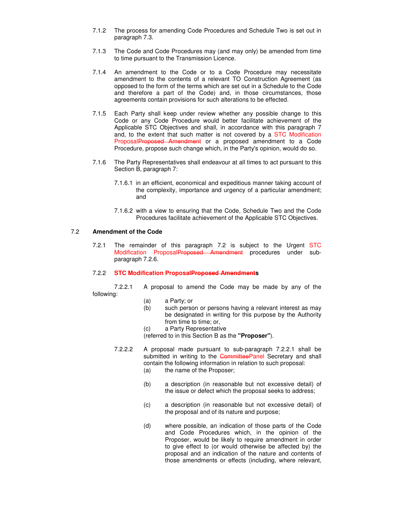- 7.1.2 The process for amending Code Procedures and Schedule Two is set out in paragraph 7.3.
- 7.1.3 The Code and Code Procedures may (and may only) be amended from time to time pursuant to the Transmission Licence.
- 7.1.4 An amendment to the Code or to a Code Procedure may necessitate amendment to the contents of a relevant TO Construction Agreement (as opposed to the form of the terms which are set out in a Schedule to the Code and therefore a part of the Code) and, in those circumstances, those agreements contain provisions for such alterations to be effected.
- 7.1.5 Each Party shall keep under review whether any possible change to this Code or any Code Procedure would better facilitate achievement of the Applicable STC Objectives and shall, in accordance with this paragraph 7 and, to the extent that such matter is not covered by a STC Modification ProposalProposed Amendment or a proposed amendment to a Code Procedure, propose such change which, in the Party's opinion, would do so.
- 7.1.6 The Party Representatives shall endeavour at all times to act pursuant to this Section B, paragraph 7:
	- 7.1.6.1 in an efficient, economical and expeditious manner taking account of the complexity, importance and urgency of a particular amendment; and
	- 7.1.6.2 with a view to ensuring that the Code, Schedule Two and the Code Procedures facilitate achievement of the Applicable STC Objectives.

#### 7.2 **Amendment of the Code**

7.2.1 The remainder of this paragraph 7.2 is subject to the Urgent STC Modification ProposalProposed Amendment procedures under subparagraph 7.2.6.

#### 7.2.2 **STC Modification ProposalProposed Amendments**

7.2.2.1 A proposal to amend the Code may be made by any of the following:

- (a) a Party; or
- (b) such person or persons having a relevant interest as may be designated in writing for this purpose by the Authority from time to time; or,
- (c) a Party Representative

(referred to in this Section B as the **"Proposer"**).

- 7.2.2.2 A proposal made pursuant to sub-paragraph 7.2.2.1 shall be submitted in writing to the CommitteePanel Secretary and shall contain the following information in relation to such proposal:
	- (a) the name of the Proposer;
	- (b) a description (in reasonable but not excessive detail) of the issue or defect which the proposal seeks to address;
	- (c) a description (in reasonable but not excessive detail) of the proposal and of its nature and purpose;
	- (d) where possible, an indication of those parts of the Code and Code Procedures which, in the opinion of the Proposer, would be likely to require amendment in order to give effect to (or would otherwise be affected by) the proposal and an indication of the nature and contents of those amendments or effects (including, where relevant,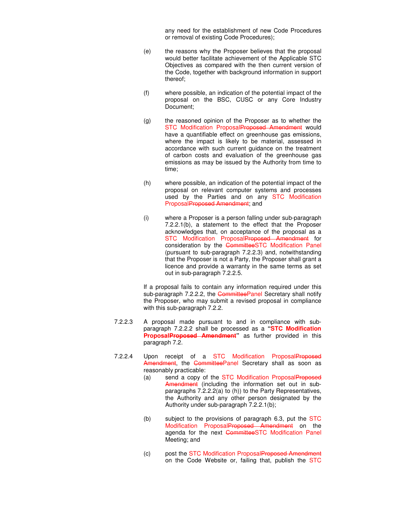any need for the establishment of new Code Procedures or removal of existing Code Procedures);

- (e) the reasons why the Proposer believes that the proposal would better facilitate achievement of the Applicable STC Objectives as compared with the then current version of the Code, together with background information in support thereof;
- (f) where possible, an indication of the potential impact of the proposal on the BSC, CUSC or any Core Industry Document;
- (g) the reasoned opinion of the Proposer as to whether the STC Modification ProposalProposed Amendment would have a quantifiable effect on greenhouse gas emissions, where the impact is likely to be material, assessed in accordance with such current guidance on the treatment of carbon costs and evaluation of the greenhouse gas emissions as may be issued by the Authority from time to time;
- (h) where possible, an indication of the potential impact of the proposal on relevant computer systems and processes used by the Parties and on any STC Modification ProposalProposed Amendment; and
- (i) where a Proposer is a person falling under sub-paragraph 7.2.2.1(b), a statement to the effect that the Proposer acknowledges that, on acceptance of the proposal as a STC Modification ProposalProposed Amendment for consideration by the CommitteeSTC Modification Panel (pursuant to sub-paragraph 7.2.2.3) and, notwithstanding that the Proposer is not a Party, the Proposer shall grant a licence and provide a warranty in the same terms as set out in sub-paragraph 7.2.2.5.

If a proposal fails to contain any information required under this sub-paragraph 7.2.2.2, the CommitteePanel Secretary shall notify the Proposer, who may submit a revised proposal in compliance with this sub-paragraph 7.2.2.

- 7.2.2.3 A proposal made pursuant to and in compliance with subparagraph 7.2.2.2 shall be processed as a **"STC Modification ProposalProposed Amendment"** as further provided in this paragraph 7.2.
- 7.2.2.4 Upon receipt of a STC Modification ProposalProposed Amendment, the CommitteePanel Secretary shall as soon as reasonably practicable:
	- (a) send a copy of the STC Modification ProposalProposed Amendment (including the information set out in subparagraphs 7.2.2.2(a) to (h)) to the Party Representatives, the Authority and any other person designated by the Authority under sub-paragraph 7.2.2.1(b);
	- (b) subject to the provisions of paragraph  $6.3$ , put the STC Modification ProposalProposed Amendment on the agenda for the next CommitteeSTC Modification Panel Meeting; and
	- (c) post the STC Modification ProposalProposed Amendment on the Code Website or, failing that, publish the STC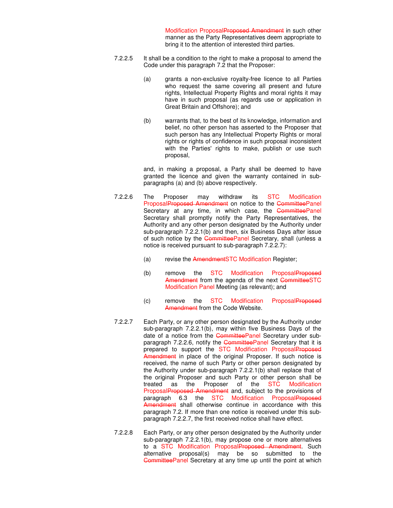Modification ProposalProposed Amendment in such other manner as the Party Representatives deem appropriate to bring it to the attention of interested third parties.

- 7.2.2.5 It shall be a condition to the right to make a proposal to amend the Code under this paragraph 7.2 that the Proposer:
	- (a) grants a non-exclusive royalty-free licence to all Parties who request the same covering all present and future rights, Intellectual Property Rights and moral rights it may have in such proposal (as regards use or application in Great Britain and Offshore); and
	- (b) warrants that, to the best of its knowledge, information and belief, no other person has asserted to the Proposer that such person has any Intellectual Property Rights or moral rights or rights of confidence in such proposal inconsistent with the Parties' rights to make, publish or use such proposal,

and, in making a proposal, a Party shall be deemed to have granted the licence and given the warranty contained in subparagraphs (a) and (b) above respectively.

- 7.2.2.6 The Proposer may withdraw its STC Modification ProposalProposed Amendment on notice to the CommitteePanel Secretary at any time, in which case, the CommitteePanel Secretary shall promptly notify the Party Representatives, the Authority and any other person designated by the Authority under sub-paragraph 7.2.2.1(b) and then, six Business Days after issue of such notice by the CommitteePanel Secretary, shall (unless a notice is received pursuant to sub-paragraph 7.2.2.7):
	- (a) revise the AmendmentSTC Modification Register;
	- (b) remove the STC Modification ProposalProposed Amendment from the agenda of the next CommitteeSTC Modification Panel Meeting (as relevant); and
	- (c) remove the STC Modification ProposalProposed Amendment from the Code Website.
- 7.2.2.7 Each Party, or any other person designated by the Authority under sub-paragraph 7.2.2.1(b), may within five Business Days of the date of a notice from the CommitteePanel Secretary under subparagraph 7.2.2.6, notify the CommitteePanel Secretary that it is prepared to support the STC Modification ProposalProposed Amendment in place of the original Proposer. If such notice is received, the name of such Party or other person designated by the Authority under sub-paragraph 7.2.2.1(b) shall replace that of the original Proposer and such Party or other person shall be treated as the Proposer of the STC Modification ProposalProposed Amendment and, subject to the provisions of paragraph 6.3 the STC Modification ProposalProposed Amendment shall otherwise continue in accordance with this paragraph 7.2. If more than one notice is received under this subparagraph 7.2.2.7, the first received notice shall have effect.
- 7.2.2.8 Each Party, or any other person designated by the Authority under sub-paragraph 7.2.2.1(b), may propose one or more alternatives to a STC Modification ProposalProposed Amendment. Such alternative proposal(s) may be so submitted to the CommitteePanel Secretary at any time up until the point at which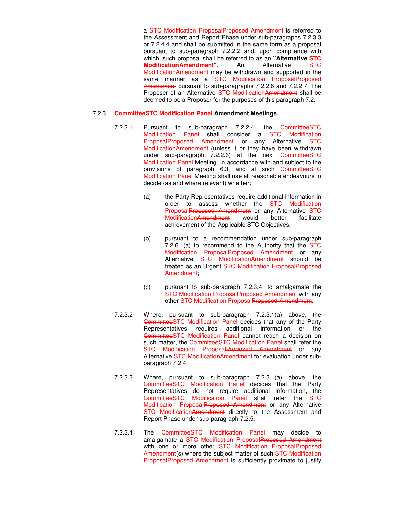a STC Modification ProposalProposed Amendment is referred to the Assessment and Report Phase under sub-paragraphs 7.2.3.3 or 7.2.4.4 and shall be submitted in the same form as a proposal pursuant to sub-paragraph 7.2.2.2 and, upon compliance with which, such proposal shall be referred to as an **"Alternative STC Modification Amendment"** An Alternative STC ModificationAmendment may be withdrawn and supported in the same manner as a STC Modification ProposalProposed Amendment pursuant to sub-paragraphs 7.2.2.6 and 7.2.2.7. The Proposer of an Alternative STC ModificationAmendment shall be deemed to be a Proposer for the purposes of this paragraph 7.2.

#### 7.2.3 **CommitteeSTC Modification Panel Amendment Meetings**

- 7.2.3.1 Pursuant to sub-paragraph 7.2.2.4, the CommitteeSTC Modification Panel shall consider a STC Modification ProposalProposed Amendment or any Alternative STC ModificationAmendment (unless it or they have been withdrawn under sub-paragraph  $\overline{7.2.2.6}$  at the next CommitteeSTC Modification Panel Meeting, in accordance with and subject to the provisions of paragraph 6.3, and at such CommitteeSTC Modification Panel Meeting shall use all reasonable endeavours to decide (as and where relevant) whether:
	- (a) the Party Representatives require additional information in order to assess whether the STC Modification ProposalProposed Amendment or any Alternative STC ModificationAmendment would better facilitate achievement of the Applicable STC Objectives;
	- (b) pursuant to a recommendation under sub-paragraph 7.2.6.1(a) to recommend to the Authority that the STC Modification ProposalProposed Amendment or any Alternative STC ModificationAmendment should be treated as an Urgent STC Modification ProposalProposed Amendment;
	- (c) pursuant to sub-paragraph 7.2.3.4, to amalgamate the STC Modification ProposalProposed Amendment with any other STC Modification ProposalProposed Amendment.
- 7.2.3.2 Where, pursuant to sub-paragraph 7.2.3.1(a) above, the CommitteeSTC Modification Panel decides that any of the Party Representatives requires additional information or the CommitteeSTC Modification Panel cannot reach a decision on such matter, the CommitteeSTC Modification Panel shall refer the STC Modification ProposalProposed Amendment or any Alternative STC ModificationAmendment for evaluation under subparagraph 7.2.4.
- 7.2.3.3 Where, pursuant to sub-paragraph 7.2.3.1(a) above, the CommitteeSTC Modification Panel decides that the Party Representatives do not require additional information, the CommitteeSTC Modification Panel shall refer the STC Modification ProposalProposed Amendment or any Alternative STC Modification Amendment directly to the Assessment and Report Phase under sub-paragraph 7.2.5.
- 7.2.3.4 The CommitteeSTC Modification Panel may decide to amalgamate a STC Modification ProposalProposed Amendment with one or more other STC Modification ProposalProposed Amendment(s) where the subject matter of such STC Modification ProposalProposed Amendment is sufficiently proximate to justify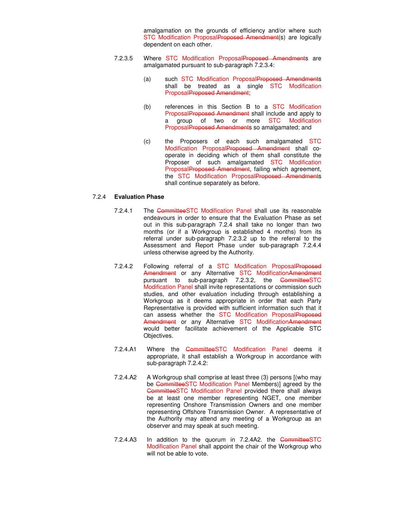amalgamation on the grounds of efficiency and/or where such STC Modification ProposalProposed Amendment(s) are logically dependent on each other.

- 7.2.3.5 Where STC Modification ProposalProposed Amendments are amalgamated pursuant to sub-paragraph 7.2.3.4:
	- (a) such STC Modification ProposalProposed Amendments shall be treated as a single STC Modification ProposalProposed Amendment;
	- (b) references in this Section B to a STC Modification ProposalProposed Amendment shall include and apply to a group of two or more STC Modification ProposalProposed Amendments so amalgamated; and
	- (c) the Proposers of each such amalgamated STC Modification ProposalProposed Amendment shall cooperate in deciding which of them shall constitute the Proposer of such amalgamated STC Modification ProposalProposed Amendment, failing which agreement, the STC Modification ProposalProposed Amendments shall continue separately as before.

#### 7.2.4 **Evaluation Phase**

- 7.2.4.1 The CommitteeSTC Modification Panel shall use its reasonable endeavours in order to ensure that the Evaluation Phase as set out in this sub-paragraph 7.2.4 shall take no longer than two months (or if a Workgroup is established 4 months) from its referral under sub-paragraph 7.2.3.2 up to the referral to the Assessment and Report Phase under sub-paragraph 7.2.4.4 unless otherwise agreed by the Authority.
- 7.2.4.2 Following referral of a STC Modification ProposalProposed Amendment or any Alternative STC ModificationAmendment pursuant to sub-paragraph 7.2.3.2, the CommitteeSTC Modification Panel shall invite representations or commission such studies, and other evaluation including through establishing a Workgroup as it deems appropriate in order that each Party Representative is provided with sufficient information such that it can assess whether the STC Modification ProposalProposed Amendment or any Alternative STC ModificationAmendment would better facilitate achievement of the Applicable STC Objectives.
- 7.2.4.A1 Where the CommitteeSTC Modification Panel deems it appropriate, it shall establish a Workgroup in accordance with sub-paragraph 7.2.4.2:
- 7.2.4.A2 A Workgroup shall comprise at least three (3) persons [(who may be CommitteeSTC Modification Panel Members)] agreed by the CommitteeSTC Modification Panel provided there shall always be at least one member representing NGET, one member representing Onshore Transmission Owners and one member representing Offshore Transmission Owner. A representative of the Authority may attend any meeting of a Workgroup as an observer and may speak at such meeting.
- 7.2.4.A3 In addition to the quorum in 7.2.4A2. the CommitteeSTC Modification Panel shall appoint the chair of the Workgroup who will not be able to vote.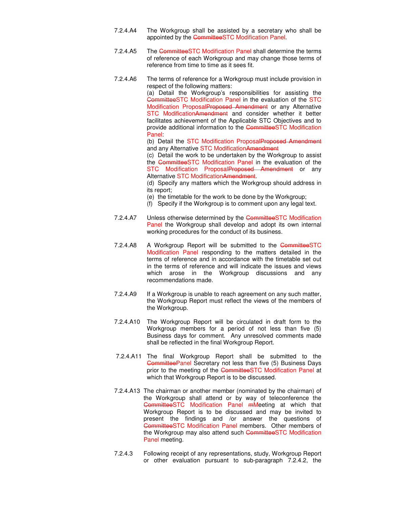- 7.2.4.A4 The Workgroup shall be assisted by a secretary who shall be appointed by the CommitteeSTC Modification Panel.
- 7.2.4.A5 The CommitteeSTC Modification Panel shall determine the terms of reference of each Workgroup and may change those terms of reference from time to time as it sees fit.
- 7.2.4.A6 The terms of reference for a Workgroup must include provision in respect of the following matters:

 (a) Detail the Workgroup's responsibilities for assisting the CommitteeSTC Modification Panel in the evaluation of the STC Modification ProposalProposed Amendment or any Alternative STC ModificationAmendment and consider whether it better facilitates achievement of the Applicable STC Objectives and to provide additional information to the CommitteeSTC Modification Panel:

(b) Detail the STC Modification ProposalProposed Amendment and any Alternative STC ModificationAmendment

 (c) Detail the work to be undertaken by the Workgroup to assist the CommitteeSTC Modification Panel in the evaluation of the STC Modification ProposalProposed Amendment or any Alternative STC ModificationAmendment.

 (d) Specify any matters which the Workgroup should address in its report;

- (e) the timetable for the work to be done by the Workgroup;
- (f) Specify if the Workgroup is to comment upon any legal text.
- 7.2.4.A7 Unless otherwise determined by the CommitteeSTC Modification Panel the Workgroup shall develop and adopt its own internal working procedures for the conduct of its business.
- 7.2.4.A8 A Workgroup Report will be submitted to the CommitteeSTC Modification Panel responding to the matters detailed in the terms of reference and in accordance with the timetable set out in the terms of reference and will indicate the issues and views which arose in the Workgroup discussions and any recommendations made.
- 7.2.4.A9 If a Workgroup is unable to reach agreement on any such matter, the Workgroup Report must reflect the views of the members of the Workgroup.
- 7.2.4.A10 The Workgroup Report will be circulated in draft form to the Workgroup members for a period of not less than five (5) Business days for comment. Any unresolved comments made shall be reflected in the final Workgroup Report.
- 7.2.4.A11 The final Workgroup Report shall be submitted to the CommitteePanel Secretary not less than five (5) Business Days prior to the meeting of the CommitteeSTC Modification Panel at which that Workgroup Report is to be discussed.
- 7.2.4.A13 The chairman or another member (nominated by the chairman) of the Workgroup shall attend or by way of teleconference the CommitteeSTC Modification Panel mMeeting at which that Workgroup Report is to be discussed and may be invited to present the findings and /or answer the questions of CommitteeSTC Modification Panel members. Other members of the Workgroup may also attend such CommitteeSTC Modification Panel meeting.
- 7.2.4.3 Following receipt of any representations, study, Workgroup Report or other evaluation pursuant to sub-paragraph 7.2.4.2, the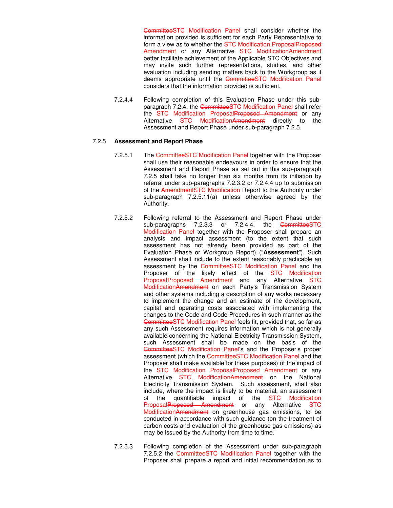CommitteeSTC Modification Panel shall consider whether the information provided is sufficient for each Party Representative to form a view as to whether the STC Modification ProposalProposed Amendment or any Alternative STC ModificationAmendment better facilitate achievement of the Applicable STC Objectives and may invite such further representations, studies, and other evaluation including sending matters back to the Workgroup as it deems appropriate until the CommitteeSTC Modification Panel considers that the information provided is sufficient.

7.2.4.4 Following completion of this Evaluation Phase under this subparagraph 7.2.4, the CommitteeSTC Modification Panel shall refer the STC Modification ProposalProposed Amendment or any Alternative STC ModificationAmendment directly to the Assessment and Report Phase under sub-paragraph 7.2.5.

#### 7.2.5 **Assessment and Report Phase**

- 7.2.5.1 The CommitteeSTC Modification Panel together with the Proposer shall use their reasonable endeavours in order to ensure that the Assessment and Report Phase as set out in this sub-paragraph 7.2.5 shall take no longer than six months from its initiation by referral under sub-paragraphs 7.2.3.2 or 7.2.4.4 up to submission of the AmendmentSTC Modification Report to the Authority under sub-paragraph 7.2.5.11(a) unless otherwise agreed by the Authority.
- 7.2.5.2 Following referral to the Assessment and Report Phase under sub-paragraphs 7.2.3.3 or 7.2.4.4, the CommitteeSTC Modification Panel together with the Proposer shall prepare an analysis and impact assessment (to the extent that such assessment has not already been provided as part of the Evaluation Phase or Workgroup Report) ("**Assessment**"). Such Assessment shall include to the extent reasonably practicable an assessment by the CommitteeSTC Modification Panel and the Proposer of the likely effect of the STC Modification ProposalProposed Amendment and any Alternative STC ModificationAmendment on each Party's Transmission System and other systems including a description of any works necessary to implement the change and an estimate of the development, capital and operating costs associated with implementing the changes to the Code and Code Procedures in such manner as the CommitteeSTC Modification Panel feels fit, provided that, so far as any such Assessment requires information which is not generally available concerning the National Electricity Transmission System, such Assessment shall be made on the basis of the CommitteeSTC Modification Panel's and the Proposer's proper assessment (which the CommitteeSTC Modification Panel and the Proposer shall make available for these purposes) of the impact of the STC Modification ProposalProposed Amendment or any Alternative STC ModificationAmendment on the National Electricity Transmission System. Such assessment, shall also include, where the impact is likely to be material, an assessment of the quantifiable impact of the STC Modification ProposalProposed Amendment or any Alternative STC ModificationAmendment on greenhouse gas emissions, to be conducted in accordance with such guidance (on the treatment of carbon costs and evaluation of the greenhouse gas emissions) as may be issued by the Authority from time to time.
- 7.2.5.3 Following completion of the Assessment under sub-paragraph 7.2.5.2 the CommitteeSTC Modification Panel together with the Proposer shall prepare a report and initial recommendation as to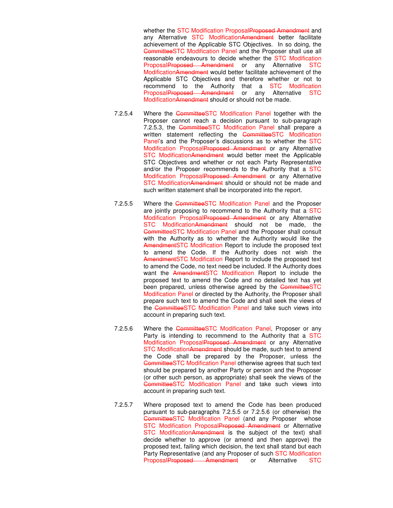whether the STC Modification Proposal Proposed Amendment and any Alternative STC ModificationAmendment better facilitate achievement of the Applicable STC Objectives. In so doing, the CommitteeSTC Modification Panel and the Proposer shall use all reasonable endeavours to decide whether the STC Modification ProposalProposed Amendment or any Alternative STC ModificationAmendment would better facilitate achievement of the Applicable STC Objectives and therefore whether or not to recommend to the Authority that a STC Modification ProposalProposed Amendment or any Alternative STC ModificationAmendment should or should not be made.

- 7.2.5.4 Where the CommitteeSTC Modification Panel together with the Proposer cannot reach a decision pursuant to sub-paragraph 7.2.5.3, the CommitteeSTC Modification Panel shall prepare a written statement reflecting the CommitteeSTC Modification Panel's and the Proposer's discussions as to whether the STC Modification ProposalProposed Amendment or any Alternative STC ModificationAmendment would better meet the Applicable STC Objectives and whether or not each Party Representative and/or the Proposer recommends to the Authority that a STC Modification ProposalProposed Amendment or any Alternative STC ModificationAmendment should or should not be made and such written statement shall be incorporated into the report.
- 7.2.5.5 Where the CommitteeSTC Modification Panel and the Proposer are jointly proposing to recommend to the Authority that a STC Modification ProposalProposed Amendment or any Alternative STC ModificationAmendment should not be made, the CommitteeSTC Modification Panel and the Proposer shall consult with the Authority as to whether the Authority would like the AmendmentSTC Modification Report to include the proposed text to amend the Code. If the Authority does not wish the AmendmentSTC Modification Report to include the proposed text to amend the Code, no text need be included. If the Authority does want the AmendmentSTC Modification Report to include the proposed text to amend the Code and no detailed text has yet been prepared, unless otherwise agreed by the CommitteeSTC Modification Panel or directed by the Authority, the Proposer shall prepare such text to amend the Code and shall seek the views of the CommitteeSTC Modification Panel and take such views into account in preparing such text.
- 7.2.5.6 Where the CommitteeSTC Modification Panel, Proposer or any Party is intending to recommend to the Authority that a STC Modification ProposalProposed Amendment or any Alternative STC ModificationAmendment should be made, such text to amend the Code shall be prepared by the Proposer, unless the CommitteeSTC Modification Panel otherwise agrees that such text should be prepared by another Party or person and the Proposer (or other such person, as appropriate) shall seek the views of the CommitteeSTC Modification Panel and take such views into account in preparing such text.
- 7.2.5.7 Where proposed text to amend the Code has been produced pursuant to sub-paragraphs 7.2.5.5 or 7.2.5.6 (or otherwise) the CommitteeSTC Modification Panel (and any Proposer whose STC Modification ProposalProposed Amendment or Alternative STC ModificationAmendment is the subject of the text) shall decide whether to approve (or amend and then approve) the proposed text, failing which decision, the text shall stand but each Party Representative (and any Proposer of such STC Modification ProposalProposed Amendment or Alternative STC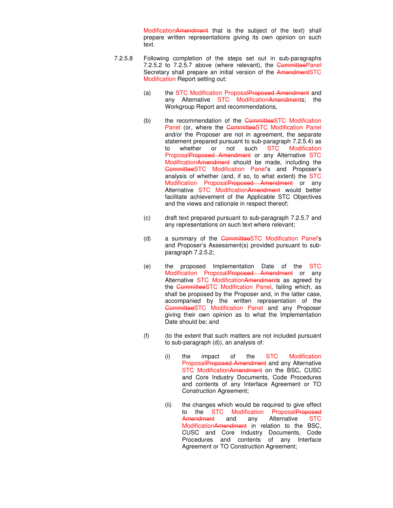ModificationAmendment that is the subject of the text) shall prepare written representations giving its own opinion on such text.

- 7.2.5.8 Following completion of the steps set out in sub-paragraphs 7.2.5.2 to 7.2.5.7 above (where relevant), the CommitteePanel Secretary shall prepare an initial version of the AmendmentSTC Modification Report setting out:
	- (a) the STC Modification ProposalProposed Amendment and any Alternative STC ModificationAmendments; the Workgroup Report and recommendations,
	- (b) the recommendation of the CommitteeSTC Modification Panel (or, where the CommitteeSTC Modification Panel and/or the Proposer are not in agreement, the separate statement prepared pursuant to sub-paragraph 7.2.5.4) as to whether or not such STC Modification ProposalProposed Amendment or any Alternative STC ModificationAmendment should be made, including the CommitteeSTC Modification Panel's and Proposer's analysis of whether (and, if so, to what extent) the STC Modification ProposalProposed Amendment or any Alternative STC ModificationAmendment would better facilitate achievement of the Applicable STC Objectives and the views and rationale in respect thereof;
	- (c) draft text prepared pursuant to sub-paragraph 7.2.5.7 and any representations on such text where relevant;
	- (d) a summary of the CommitteeSTC Modification Panel's and Proposer's Assessment(s) provided pursuant to subparagraph 7.2.5.2;
	- (e) the proposed Implementation Date of the STC Modification ProposalProposed Amendment or any Alternative STC ModificationAmendments as agreed by the CommitteeSTC Modification Panel, failing which, as shall be proposed by the Proposer and, in the latter case, accompanied by the written representation of the CommitteeSTC Modification Panel and any Proposer giving their own opinion as to what the Implementation Date should be; and
	- (f) (to the extent that such matters are not included pursuant to sub-paragraph (d)), an analysis of:
		- (i) the impact of the STC Modification ProposalProposed Amendment and any Alternative STC ModificationAmendment on the BSC, CUSC and Core Industry Documents, Code Procedures and contents of any Interface Agreement or TO Construction Agreement;
		- (ii) the changes which would be required to give effect to the STC Modification ProposalProposed Amendment and any Alternative STC ModificationAmendment in relation to the BSC, CUSC and Core Industry Documents, Code Procedures and contents of any Interface Agreement or TO Construction Agreement;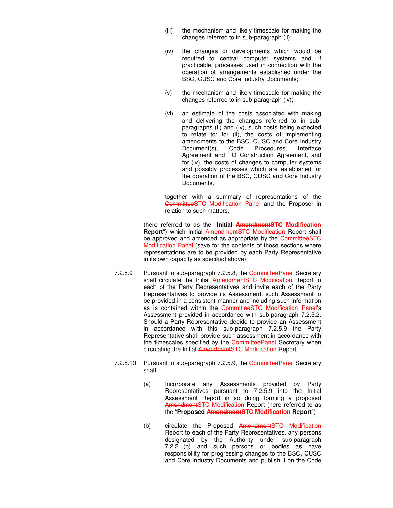- (iii) the mechanism and likely timescale for making the changes referred to in sub-paragraph (ii);
- (iv) the changes or developments which would be required to central computer systems and, if practicable, processes used in connection with the operation of arrangements established under the BSC, CUSC and Core Industry Documents;
- (v) the mechanism and likely timescale for making the changes referred to in sub-paragraph (iv);
- (vi) an estimate of the costs associated with making and delivering the changes referred to in subparagraphs (ii) and (iv), such costs being expected to relate to: for (ii), the costs of implementing amendments to the BSC, CUSC and Core Industry Document(s), Code Procedures, Interface Agreement and TO Construction Agreement, and for (iv), the costs of changes to computer systems and possibly processes which are established for the operation of the BSC, CUSC and Core Industry Documents,

together with a summary of representations of the CommitteeSTC Modification Panel and the Proposer in relation to such matters,

(here referred to as the "**Initial AmendmentSTC Modification Report**") which Initial AmendmentSTC Modification Report shall be approved and amended as appropriate by the CommitteeSTC Modification Panel (save for the contents of those sections where representations are to be provided by each Party Representative in its own capacity as specified above).

- 7.2.5.9 Pursuant to sub-paragraph 7.2.5.8, the CommitteePanel Secretary shall circulate the Initial AmendmentSTC Modification Report to each of the Party Representatives and invite each of the Party Representatives to provide its Assessment, such Assessment to be provided in a consistent manner and including such information as is contained within the CommitteeSTC Modification Panel's Assessment provided in accordance with sub-paragraph 7.2.5.2. Should a Party Representative decide to provide an Assessment in accordance with this sub-paragraph 7.2.5.9 the Party Representative shall provide such assessment in accordance with the timescales specified by the CommitteePanel Secretary when circulating the Initial AmendmentSTC Modification Report.
- 7.2.5.10 Pursuant to sub-paragraph 7.2.5.9, the CommitteePanel Secretary shall:
	- (a) Incorporate any Assessments provided by Party Representatives pursuant to 7.2.5.9 into the Initial Assessment Report in so doing forming a proposed AmendmentSTC Modification Report (here referred to as the "**Proposed AmendmentSTC Modification Report**")
	- (b) circulate the Proposed AmendmentSTC Modification Report to each of the Party Representatives, any persons designated by the Authority under sub-paragraph 7.2.2.1(b) and such persons or bodies as have responsibility for progressing changes to the BSC, CUSC and Core Industry Documents and publish it on the Code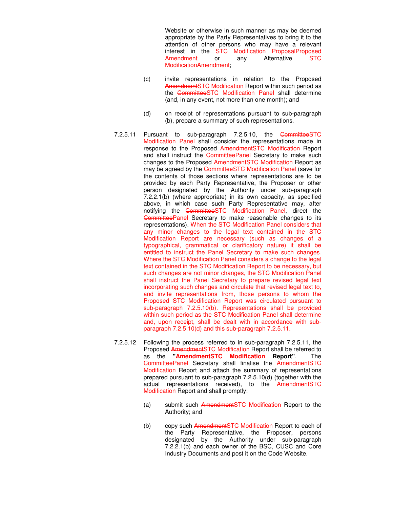Website or otherwise in such manner as may be deemed appropriate by the Party Representatives to bring it to the attention of other persons who may have a relevant interest in the STC Modification ProposalProposed Amendment or any Alternative STC ModificationAmendment:

- (c) invite representations in relation to the Proposed AmendmentSTC Modification Report within such period as the CommitteeSTC Modification Panel shall determine (and, in any event, not more than one month); and
- (d) on receipt of representations pursuant to sub-paragraph (b), prepare a summary of such representations.
- 7.2.5.11 Pursuant to sub-paragraph 7.2.5.10, the CommitteeSTC Modification Panel shall consider the representations made in response to the Proposed AmendmentSTC Modification Report and shall instruct the CommitteePanel Secretary to make such changes to the Proposed AmendmentSTC Modification Report as may be agreed by the CommitteeSTC Modification Panel (save for the contents of those sections where representations are to be provided by each Party Representative, the Proposer or other person designated by the Authority under sub-paragraph 7.2.2.1(b) (where appropriate) in its own capacity, as specified above, in which case such Party Representative may, after notifying the CommitteeSTC Modification Panel, direct the CommitteePanel Secretary to make reasonable changes to its representations). When the STC Modification Panel considers that any minor changes to the legal text contained in the STC Modification Report are necessary (such as changes of a typographical, grammatical or clarificatory nature) it shall be entitled to instruct the Panel Secretary to make such changes. Where the STC Modification Panel considers a change to the legal text contained in the STC Modification Report to be necessary, but such changes are not minor changes, the STC Modification Panel shall instruct the Panel Secretary to prepare revised legal text incorporating such changes and circulate that revised legal text to, and invite representations from, those persons to whom the Proposed STC Modification Report was circulated pursuant to sub-paragraph 7.2.5.10(b). Representations shall be provided within such period as the STC Modification Panel shall determine and, upon receipt, shall be dealt with in accordance with subparagraph 7.2.5.10(d) and this sub-paragraph 7.2.5.11.
- 7.2.5.12 Following the process referred to in sub-paragraph 7.2.5.11, the Proposed AmendmentSTC Modification Report shall be referred to as the **"AmendmentSTC Modification Report"**. The CommitteePanel Secretary shall finalise the AmendmentSTC Modification Report and attach the summary of representations prepared pursuant to sub-paragraph 7.2.5.10(d) (together with the actual representations received), to the AmendmentSTC Modification Report and shall promptly:
	- (a) submit such AmendmentSTC Modification Report to the Authority; and
	- (b) copy such AmendmentSTC Modification Report to each of the Party Representative, the Proposer, persons designated by the Authority under sub-paragraph 7.2.2.1(b) and each owner of the BSC, CUSC and Core Industry Documents and post it on the Code Website.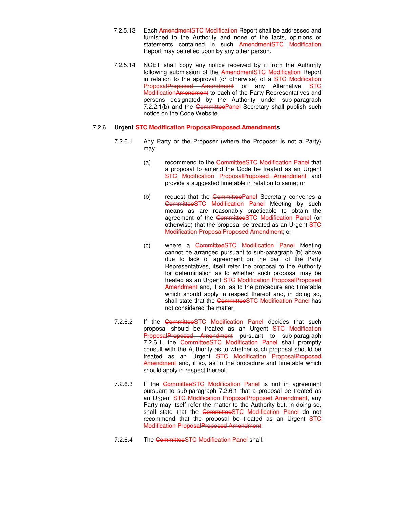- 7.2.5.13 Each Amendment STC Modification Report shall be addressed and furnished to the Authority and none of the facts, opinions or statements contained in such AmendmentSTC Modification Report may be relied upon by any other person.
- 7.2.5.14 NGET shall copy any notice received by it from the Authority following submission of the AmendmentSTC Modification Report in relation to the approval (or otherwise) of a STC Modification ProposalProposed Amendment or any Alternative STC ModificationAmendment to each of the Party Representatives and persons designated by the Authority under sub-paragraph 7.2.2.1(b) and the CommitteePanel Secretary shall publish such notice on the Code Website.

#### 7.2.6 **Urgent STC Modification ProposalProposed Amendments**

- 7.2.6.1 Any Party or the Proposer (where the Proposer is not a Party) may:
	- (a) recommend to the CommitteeSTC Modification Panel that a proposal to amend the Code be treated as an Urgent STC Modification ProposalProposed Amendment and provide a suggested timetable in relation to same; or
	- (b) request that the CommitteePanel Secretary convenes a CommitteeSTC Modification Panel Meeting by such means as are reasonably practicable to obtain the agreement of the CommitteeSTC Modification Panel (or otherwise) that the proposal be treated as an Urgent STC Modification ProposalProposed Amendment; or
	- (c) where a CommitteeSTC Modification Panel Meeting cannot be arranged pursuant to sub-paragraph (b) above due to lack of agreement on the part of the Party Representatives, itself refer the proposal to the Authority for determination as to whether such proposal may be treated as an Urgent STC Modification ProposalProposed Amendment and, if so, as to the procedure and timetable which should apply in respect thereof and, in doing so, shall state that the CommitteeSTC Modification Panel has not considered the matter.
- 7.2.6.2 If the CommitteeSTC Modification Panel decides that such proposal should be treated as an Urgent STC Modification ProposalProposed Amendment pursuant to sub-paragraph 7.2.6.1, the CommitteeSTC Modification Panel shall promptly consult with the Authority as to whether such proposal should be treated as an Urgent STC Modification ProposalProposed Amendment and, if so, as to the procedure and timetable which should apply in respect thereof.
- 7.2.6.3 If the CommitteeSTC Modification Panel is not in agreement pursuant to sub-paragraph 7.2.6.1 that a proposal be treated as an Urgent STC Modification ProposalProposed Amendment, any Party may itself refer the matter to the Authority but, in doing so, shall state that the CommitteeSTC Modification Panel do not recommend that the proposal be treated as an Urgent STC Modification ProposalProposed Amendment.
- 7.2.6.4 The CommitteeSTC Modification Panel shall: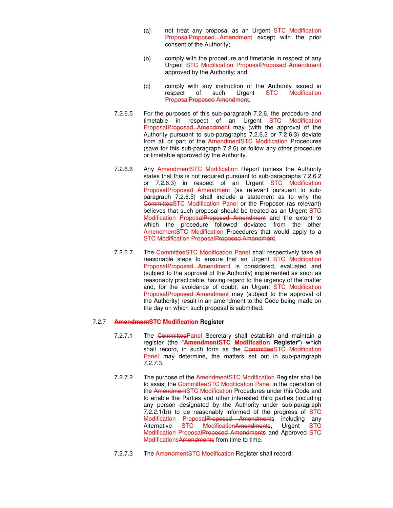- (a) not treat any proposal as an Urgent STC Modification ProposalProposed Amendment except with the prior consent of the Authority;
- (b) comply with the procedure and timetable in respect of any Urgent STC Modification ProposalProposed Amendment approved by the Authority; and
- (c) comply with any instruction of the Authority issued in<br>respect of such Urgent STC Modification respect of such Urgent STC Modification ProposalProposed Amendment.
- 7.2.6.5 For the purposes of this sub-paragraph 7.2.6, the procedure and timetable in respect of an Urgent STC Modification ProposalProposed Amendment may (with the approval of the Authority pursuant to sub-paragraphs 7.2.6.2 or 7.2.6.3) deviate from all or part of the AmendmentSTC Modification Procedures (save for this sub-paragraph 7.2.6) or follow any other procedure or timetable approved by the Authority.
- 7.2.6.6 Any AmendmentSTC Modification Report (unless the Authority states that this is not required pursuant to sub-paragraphs 7.2.6.2 or 7.2.6.3) in respect of an Urgent STC Modification ProposalProposed Amendment (as relevant pursuant to subparagraph 7.2.6.5) shall include a statement as to why the CommitteeSTC Modification Panel or the Proposer (as relevant) believes that such proposal should be treated as an Urgent STC Modification ProposalProposed Amendment and the extent to which the procedure followed deviated from the other AmendmentSTC Modification Procedures that would apply to a STC Modification ProposalProposed Amendment.
- 7.2.6.7 The CommitteeSTC Modification Panel shall respectively take all reasonable steps to ensure that an Urgent STC Modification ProposalProposed Amendment is considered, evaluated and (subject to the approval of the Authority) implemented as soon as reasonably practicable, having regard to the urgency of the matter and, for the avoidance of doubt, an Urgent STC Modification ProposalProposed Amendment may (subject to the approval of the Authority) result in an amendment to the Code being made on the day on which such proposal is submitted.

#### 7.2.7 **AmendmentSTC Modification Register**

- 7.2.7.1 The CommitteePanel Secretary shall establish and maintain a register (the "**AmendmentSTC Modification Register**") which shall record, in such form as the CommitteeSTC Modification Panel may determine, the matters set out in sub-paragraph 7.2.7.3.
- 7.2.7.2 The purpose of the AmendmentSTC Modification Register shall be to assist the CommitteeSTC Modification Panel in the operation of the AmendmentSTC Modification Procedures under this Code and to enable the Parties and other interested third parties (including any person designated by the Authority under sub-paragraph 7.2.2.1(b)) to be reasonably informed of the progress of  $STC$ Modification ProposalProposed Amendments including any Alternative STC ModificationAmendments, Urgent STC Modification ProposalProposed Amendments and Approved STC ModificationsAmendments from time to time.
- 7.2.7.3 The AmendmentSTC Modification Register shall record: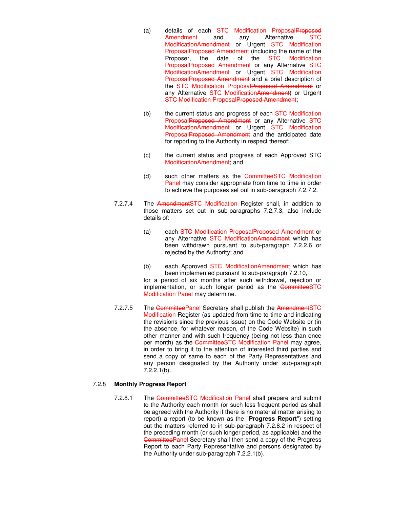- (a) details of each STC Modification ProposalProposed Amendment and any Alternative STC ModificationAmendment or Urgent STC Modification ProposalProposed Amendment (including the name of the Proposer, the date of the STC Modification ProposalProposed Amendment or any Alternative STC ModificationAmendment or Urgent STC Modification ProposalProposed Amendment and a brief description of the STC Modification ProposalProposed Amendment or any Alternative STC ModificationAmendment) or Urgent STC Modification ProposalProposed Amendment:
- (b) the current status and progress of each STC Modification ProposalProposed Amendment or any Alternative STC ModificationAmendment or Urgent STC Modification ProposalProposed Amendment and the anticipated date for reporting to the Authority in respect thereof;
- (c) the current status and progress of each Approved STC ModificationAmendment; and
- (d) such other matters as the CommitteeSTC Modification Panel may consider appropriate from time to time in order to achieve the purposes set out in sub-paragraph 7.2.7.2.
- 7.2.7.4 The AmendmentSTC Modification Register shall, in addition to those matters set out in sub-paragraphs 7.2.7.3, also include details of:
	- (a) each STC Modification ProposalProposed Amendment or any Alternative STC Modification Amendment which has been withdrawn pursuant to sub-paragraph 7.2.2.6 or rejected by the Authority; and
	- (b) each Approved STC ModificationAmendment which has been implemented pursuant to sub-paragraph 7.2.10,

for a period of six months after such withdrawal, rejection or implementation, or such longer period as the CommitteeSTC Modification Panel may determine.

7.2.7.5 The CommitteePanel Secretary shall publish the AmendmentSTC Modification Register (as updated from time to time and indicating the revisions since the previous issue) on the Code Website or (in the absence, for whatever reason, of the Code Website) in such other manner and with such frequency (being not less than once per month) as the CommitteeSTC Modification Panel may agree, in order to bring it to the attention of interested third parties and send a copy of same to each of the Party Representatives and any person designated by the Authority under sub-paragraph 7.2.2.1(b).

#### 7.2.8 **Monthly Progress Report**

7.2.8.1 The CommitteeSTC Modification Panel shall prepare and submit to the Authority each month (or such less frequent period as shall be agreed with the Authority if there is no material matter arising to report) a report (to be known as the "**Progress Report**") setting out the matters referred to in sub-paragraph 7.2.8.2 in respect of the preceding month (or such longer period, as applicable) and the CommitteePanel Secretary shall then send a copy of the Progress Report to each Party Representative and persons designated by the Authority under sub-paragraph 7.2.2.1(b).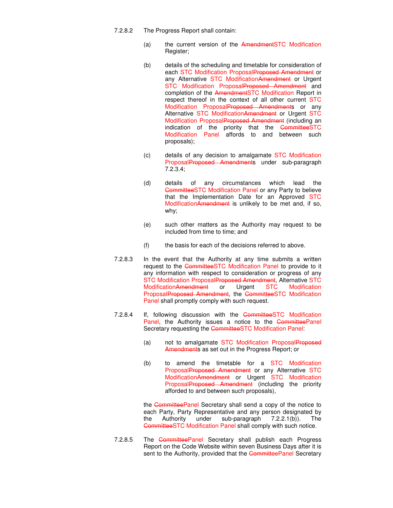- 7.2.8.2 The Progress Report shall contain:
	- (a) the current version of the AmendmentSTC Modification Register;
	- (b) details of the scheduling and timetable for consideration of each STC Modification ProposalProposed Amendment or any Alternative STC ModificationAmendment or Urgent STC Modification ProposalProposed Amendment and completion of the AmendmentSTC Modification Report in respect thereof in the context of all other current STC Modification ProposalProposed Amendments or any Alternative STC ModificationAmendment or Urgent STC Modification ProposalProposed Amendment (including an indication of the priority that the CommitteeSTC Modification Panel affords to and between such proposals);
	- (c) details of any decision to amalgamate STC Modification ProposalProposed Amendments under sub-paragraph 7.2.3.4;
	- (d) details of any circumstances which lead the CommitteeSTC Modification Panel or any Party to believe that the Implementation Date for an Approved STC ModificationAmendment is unlikely to be met and, if so, why;
	- (e) such other matters as the Authority may request to be included from time to time; and
	- (f) the basis for each of the decisions referred to above.
- 7.2.8.3 In the event that the Authority at any time submits a written request to the CommitteeSTC Modification Panel to provide to it any information with respect to consideration or progress of any STC Modification Proposal Proposed Amendment, Alternative STC<br>Modification Amendment or Urgent STC Modification ModificationAmendment or Urgent STC Modification ProposalProposed Amendment, the CommitteeSTC Modification Panel shall promptly comply with such request.
- 7.2.8.4 If, following discussion with the CommitteeSTC Modification Panel, the Authority issues a notice to the CommitteePanel Secretary requesting the CommitteeSTC Modification Panel:
	- (a) not to amalgamate STC Modification ProposalProposed Amendments as set out in the Progress Report; or
	- (b) to amend the timetable for a STC Modification ProposalProposed Amendment or any Alternative STC ModificationAmendment or Urgent STC Modification ProposalProposed Amendment (including the priority afforded to and between such proposals),

the CommitteePanel Secretary shall send a copy of the notice to each Party, Party Representative and any person designated by the Authority under sub-paragraph 7.2.2.1(b)). The CommitteeSTC Modification Panel shall comply with such notice.

7.2.8.5 The CommitteePanel Secretary shall publish each Progress Report on the Code Website within seven Business Days after it is sent to the Authority, provided that the CommitteePanel Secretary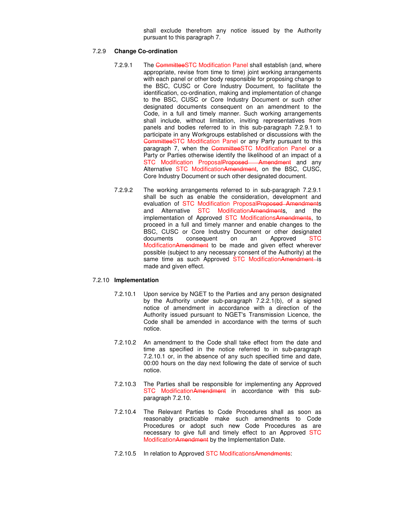shall exclude therefrom any notice issued by the Authority pursuant to this paragraph 7.

#### 7.2.9 **Change Co-ordination**

- 7.2.9.1 The CommitteeSTC Modification Panel shall establish (and, where appropriate, revise from time to time) joint working arrangements with each panel or other body responsible for proposing change to the BSC, CUSC or Core Industry Document, to facilitate the identification, co-ordination, making and implementation of change to the BSC, CUSC or Core Industry Document or such other designated documents consequent on an amendment to the Code, in a full and timely manner. Such working arrangements shall include, without limitation, inviting representatives from panels and bodies referred to in this sub-paragraph 7.2.9.1 to participate in any Workgroups established or discussions with the CommitteeSTC Modification Panel or any Party pursuant to this paragraph 7, when the CommitteeSTC Modification Panel or a Party or Parties otherwise identify the likelihood of an impact of a STC Modification ProposalProposed Amendment and any Alternative STC ModificationAmendment, on the BSC, CUSC, Core Industry Document or such other designated document.
- 7.2.9.2 The working arrangements referred to in sub-paragraph 7.2.9.1 shall be such as enable the consideration, development and evaluation of STC Modification ProposalProposed Amendments and Alternative STC ModificationAmendments, and the implementation of Approved STC ModificationsAmendments, to proceed in a full and timely manner and enable changes to the BSC, CUSC or Core Industry Document or other designated documents consequent on an Approved STC ModificationAmendment to be made and given effect wherever possible (subject to any necessary consent of the Authority) at the same time as such Approved STC ModificationAmendment is made and given effect.

#### 7.2.10 **Implementation**

- 7.2.10.1 Upon service by NGET to the Parties and any person designated by the Authority under sub-paragraph 7.2.2.1(b), of a signed notice of amendment in accordance with a direction of the Authority issued pursuant to NGET's Transmission Licence, the Code shall be amended in accordance with the terms of such notice.
- 7.2.10.2 An amendment to the Code shall take effect from the date and time as specified in the notice referred to in sub-paragraph 7.2.10.1 or, in the absence of any such specified time and date, 00:00 hours on the day next following the date of service of such notice.
- 7.2.10.3 The Parties shall be responsible for implementing any Approved STC ModificationAmendment in accordance with this subparagraph 7.2.10.
- 7.2.10.4 The Relevant Parties to Code Procedures shall as soon as reasonably practicable make such amendments to Code Procedures or adopt such new Code Procedures as are necessary to give full and timely effect to an Approved STC ModificationAmendment by the Implementation Date.
- 7.2.10.5 In relation to Approved STC ModificationsAmendments: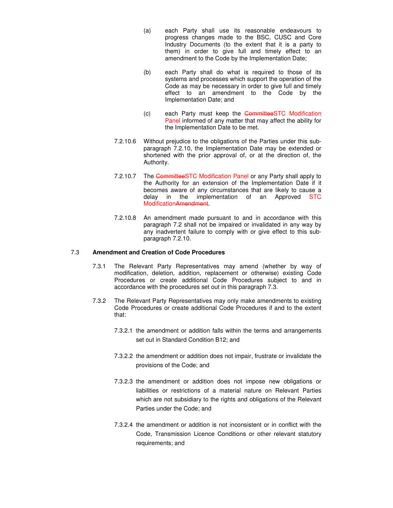- (a) each Party shall use its reasonable endeavours to progress changes made to the BSC, CUSC and Core Industry Documents (to the extent that it is a party to them) in order to give full and timely effect to an amendment to the Code by the Implementation Date;
- (b) each Party shall do what is required to those of its systems and processes which support the operation of the Code as may be necessary in order to give full and timely effect to an amendment to the Code by the Implementation Date; and
- (c) each Party must keep the CommitteeSTC Modification Panel informed of any matter that may affect the ability for the Implementation Date to be met.
- 7.2.10.6 Without prejudice to the obligations of the Parties under this subparagraph 7.2.10, the Implementation Date may be extended or shortened with the prior approval of, or at the direction of, the Authority.
- 7.2.10.7 The CommitteeSTC Modification Panel or any Party shall apply to the Authority for an extension of the Implementation Date if it becomes aware of any circumstances that are likely to cause a delay in the implementation of an Approved STC ModificationAmendment.
- 7.2.10.8 An amendment made pursuant to and in accordance with this paragraph 7.2 shall not be impaired or invalidated in any way by any inadvertent failure to comply with or give effect to this subparagraph 7.2.10.

#### 7.3 **Amendment and Creation of Code Procedures**

- 7.3.1 The Relevant Party Representatives may amend (whether by way of modification, deletion, addition, replacement or otherwise) existing Code Procedures or create additional Code Procedures subject to and in accordance with the procedures set out in this paragraph 7.3.
- 7.3.2 The Relevant Party Representatives may only make amendments to existing Code Procedures or create additional Code Procedures if and to the extent that:
	- 7.3.2.1 the amendment or addition falls within the terms and arrangements set out in Standard Condition B12; and
	- 7.3.2.2 the amendment or addition does not impair, frustrate or invalidate the provisions of the Code; and
	- 7.3.2.3 the amendment or addition does not impose new obligations or liabilities or restrictions of a material nature on Relevant Parties which are not subsidiary to the rights and obligations of the Relevant Parties under the Code; and
	- 7.3.2.4 the amendment or addition is not inconsistent or in conflict with the Code, Transmission Licence Conditions or other relevant statutory requirements; and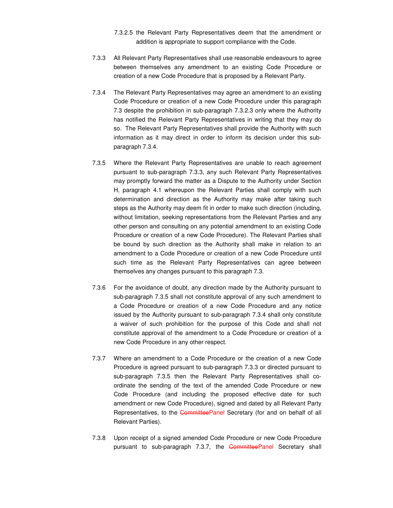- 7.3.2.5 the Relevant Party Representatives deem that the amendment or addition is appropriate to support compliance with the Code.
- 7.3.3 All Relevant Party Representatives shall use reasonable endeavours to agree between themselves any amendment to an existing Code Procedure or creation of a new Code Procedure that is proposed by a Relevant Party.
- 7.3.4 The Relevant Party Representatives may agree an amendment to an existing Code Procedure or creation of a new Code Procedure under this paragraph 7.3 despite the prohibition in sub-paragraph 7.3.2.3 only where the Authority has notified the Relevant Party Representatives in writing that they may do so. The Relevant Party Representatives shall provide the Authority with such information as it may direct in order to inform its decision under this subparagraph 7.3.4.
- 7.3.5 Where the Relevant Party Representatives are unable to reach agreement pursuant to sub-paragraph 7.3.3, any such Relevant Party Representatives may promptly forward the matter as a Dispute to the Authority under Section H, paragraph 4.1 whereupon the Relevant Parties shall comply with such determination and direction as the Authority may make after taking such steps as the Authority may deem fit in order to make such direction (including, without limitation, seeking representations from the Relevant Parties and any other person and consulting on any potential amendment to an existing Code Procedure or creation of a new Code Procedure). The Relevant Parties shall be bound by such direction as the Authority shall make in relation to an amendment to a Code Procedure or creation of a new Code Procedure until such time as the Relevant Party Representatives can agree between themselves any changes pursuant to this paragraph 7.3.
- 7.3.6 For the avoidance of doubt, any direction made by the Authority pursuant to sub-paragraph 7.3.5 shall not constitute approval of any such amendment to a Code Procedure or creation of a new Code Procedure and any notice issued by the Authority pursuant to sub-paragraph 7.3.4 shall only constitute a waiver of such prohibition for the purpose of this Code and shall not constitute approval of the amendment to a Code Procedure or creation of a new Code Procedure in any other respect.
- 7.3.7 Where an amendment to a Code Procedure or the creation of a new Code Procedure is agreed pursuant to sub-paragraph 7.3.3 or directed pursuant to sub-paragraph 7.3.5 then the Relevant Party Representatives shall coordinate the sending of the text of the amended Code Procedure or new Code Procedure (and including the proposed effective date for such amendment or new Code Procedure), signed and dated by all Relevant Party Representatives, to the CommitteePanel Secretary (for and on behalf of all Relevant Parties).
- 7.3.8 Upon receipt of a signed amended Code Procedure or new Code Procedure pursuant to sub-paragraph 7.3.7, the CommitteePanel Secretary shall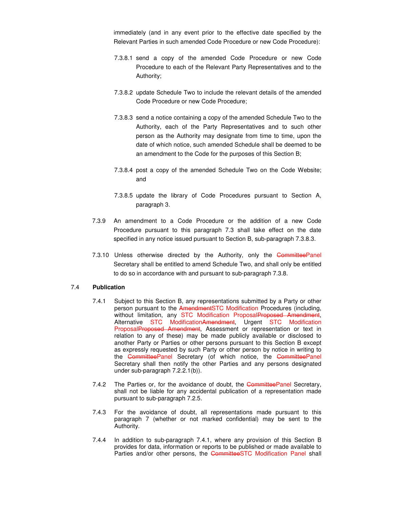immediately (and in any event prior to the effective date specified by the Relevant Parties in such amended Code Procedure or new Code Procedure):

- 7.3.8.1 send a copy of the amended Code Procedure or new Code Procedure to each of the Relevant Party Representatives and to the Authority;
- 7.3.8.2 update Schedule Two to include the relevant details of the amended Code Procedure or new Code Procedure;
- 7.3.8.3 send a notice containing a copy of the amended Schedule Two to the Authority, each of the Party Representatives and to such other person as the Authority may designate from time to time, upon the date of which notice, such amended Schedule shall be deemed to be an amendment to the Code for the purposes of this Section B;
- 7.3.8.4 post a copy of the amended Schedule Two on the Code Website; and
- 7.3.8.5 update the library of Code Procedures pursuant to Section A, paragraph 3.
- 7.3.9 An amendment to a Code Procedure or the addition of a new Code Procedure pursuant to this paragraph 7.3 shall take effect on the date specified in any notice issued pursuant to Section B, sub-paragraph 7.3.8.3.
- 7.3.10 Unless otherwise directed by the Authority, only the CommitteePanel Secretary shall be entitled to amend Schedule Two, and shall only be entitled to do so in accordance with and pursuant to sub-paragraph 7.3.8.

#### 7.4 **Publication**

- 7.4.1 Subject to this Section B, any representations submitted by a Party or other person pursuant to the AmendmentSTC Modification Procedures (including, without limitation, any STC Modification ProposalProposed Amendment. Alternative STC ModificationAmendment, Urgent STC Modification ProposalProposed Amendment, Assessment or representation or text in relation to any of these) may be made publicly available or disclosed to another Party or Parties or other persons pursuant to this Section B except as expressly requested by such Party or other person by notice in writing to the CommitteePanel Secretary (of which notice, the CommitteePanel Secretary shall then notify the other Parties and any persons designated under sub-paragraph 7.2.2.1(b)).
- 7.4.2 The Parties or, for the avoidance of doubt, the CommitteePanel Secretary, shall not be liable for any accidental publication of a representation made pursuant to sub-paragraph 7.2.5.
- 7.4.3 For the avoidance of doubt, all representations made pursuant to this paragraph 7 (whether or not marked confidential) may be sent to the Authority.
- 7.4.4 In addition to sub-paragraph 7.4.1, where any provision of this Section B provides for data, information or reports to be published or made available to Parties and/or other persons, the CommitteeSTC Modification Panel shall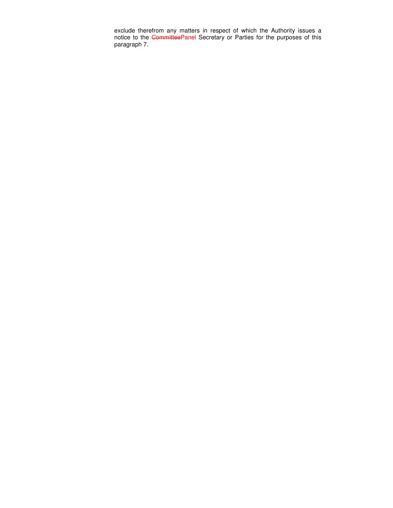exclude therefrom any matters in respect of which the Authority issues a notice to the CommitteePanel Secretary or Parties for the purposes of this paragraph 7.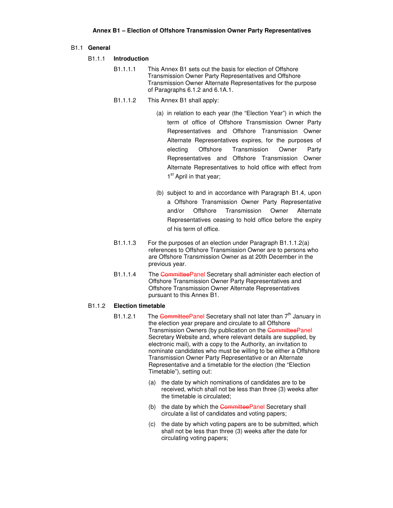#### B1.1 **General**

#### B1.1.1 **Introduction**

- B1.1.1.1 This Annex B1 sets out the basis for election of Offshore Transmission Owner Party Representatives and Offshore Transmission Owner Alternate Representatives for the purpose of Paragraphs 6.1.2 and 6.1A.1.
- B1.1.1.2 This Annex B1 shall apply:
	- (a) in relation to each year (the "Election Year") in which the term of office of Offshore Transmission Owner Party Representatives and Offshore Transmission Owner Alternate Representatives expires, for the purposes of electing Offshore Transmission Owner Party Representatives and Offshore Transmission Owner Alternate Representatives to hold office with effect from 1<sup>st</sup> April in that year;
	- (b) subject to and in accordance with Paragraph B1.4, upon a Offshore Transmission Owner Party Representative and/or Offshore Transmission Owner Alternate Representatives ceasing to hold office before the expiry of his term of office.
- B1.1.1.3 For the purposes of an election under Paragraph B1.1.1.2(a) references to Offshore Transmission Owner are to persons who are Offshore Transmission Owner as at 20th December in the previous year.
- B1.1.1.4 The CommitteePanel Secretary shall administer each election of Offshore Transmission Owner Party Representatives and Offshore Transmission Owner Alternate Representatives pursuant to this Annex B1.

#### B1.1.2 **Election timetable**

- B1.1.2.1 The CommitteePanel Secretary shall not later than  $7<sup>th</sup>$  January in the election year prepare and circulate to all Offshore Transmission Owners (by publication on the CommitteePanel Secretary Website and, where relevant details are supplied, by electronic mail), with a copy to the Authority, an invitation to nominate candidates who must be willing to be either a Offshore Transmission Owner Party Representative or an Alternate Representative and a timetable for the election (the "Election Timetable"), setting out:
	- (a) the date by which nominations of candidates are to be received, which shall not be less than three (3) weeks after the timetable is circulated;
	- (b) the date by which the CommitteePanel Secretary shall circulate a list of candidates and voting papers;
	- (c) the date by which voting papers are to be submitted, which shall not be less than three (3) weeks after the date for circulating voting papers;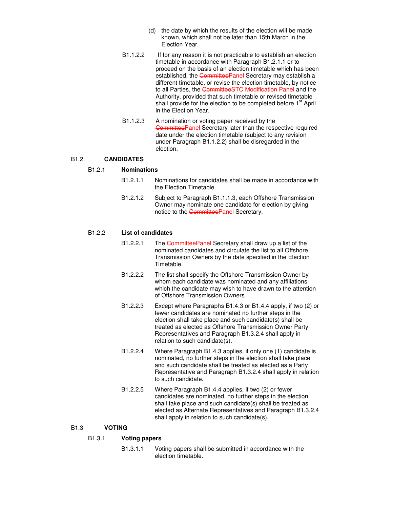- (d) the date by which the results of the election will be made known, which shall not be later than 15th March in the Election Year.
- B1.1.2.2 If for any reason it is not practicable to establish an election timetable in accordance with Paragraph B1.2.1.1 or to proceed on the basis of an election timetable which has been established, the CommitteePanel Secretary may establish a different timetable, or revise the election timetable, by notice to all Parties, the CommitteeSTC Modification Panel and the Authority, provided that such timetable or revised timetable shall provide for the election to be completed before 1<sup>st</sup> April in the Election Year.
- B1.1.2.3 A nomination or voting paper received by the CommitteePanel Secretary later than the respective required date under the election timetable (subject to any revision under Paragraph B1.1.2.2) shall be disregarded in the election.

#### B1.2. **CANDIDATES**

#### B1.2.1 **Nominations**

- B1.2.1.1 Nominations for candidates shall be made in accordance with the Election Timetable.
- B1.2.1.2 Subject to Paragraph B1.1.1.3, each Offshore Transmission Owner may nominate one candidate for election by giving notice to the CommitteePanel Secretary.

#### B1.2.2 **List of candidates**

- B1.2.2.1 The CommitteePanel Secretary shall draw up a list of the nominated candidates and circulate the list to all Offshore Transmission Owners by the date specified in the Election Timetable.
- B1.2.2.2 The list shall specify the Offshore Transmission Owner by whom each candidate was nominated and any affiliations which the candidate may wish to have drawn to the attention of Offshore Transmission Owners.
- B1.2.2.3 Except where Paragraphs B1.4.3 or B1.4.4 apply, if two (2) or fewer candidates are nominated no further steps in the election shall take place and such candidate(s) shall be treated as elected as Offshore Transmission Owner Party Representatives and Paragraph B1.3.2.4 shall apply in relation to such candidate(s).
- B1.2.2.4 Where Paragraph B1.4.3 applies, if only one (1) candidate is nominated, no further steps in the election shall take place and such candidate shall be treated as elected as a Party Representative and Paragraph B1.3.2.4 shall apply in relation to such candidate.
- B1.2.2.5 Where Paragraph B1.4.4 applies, if two (2) or fewer candidates are nominated, no further steps in the election shall take place and such candidate(s) shall be treated as elected as Alternate Representatives and Paragraph B1.3.2.4 shall apply in relation to such candidate(s).

#### B1.3 **VOTING**

#### B1.3.1 **Voting papers**

B1.3.1.1 Voting papers shall be submitted in accordance with the election timetable.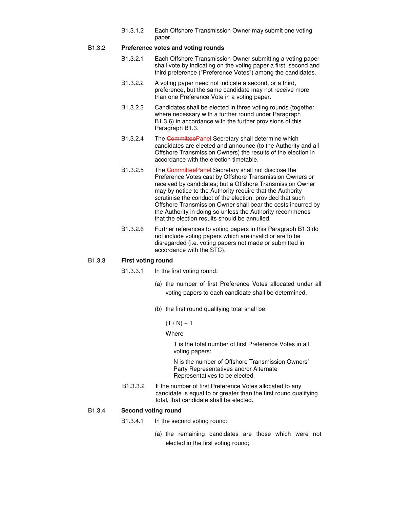B1.3.1.2 Each Offshore Transmission Owner may submit one voting paper.

#### B1.3.2 **Preference votes and voting rounds**

- B1.3.2.1 Each Offshore Transmission Owner submitting a voting paper shall vote by indicating on the voting paper a first, second and third preference ("Preference Votes") among the candidates.
- B1.3.2.2 A voting paper need not indicate a second, or a third, preference, but the same candidate may not receive more than one Preference Vote in a voting paper.
- B1.3.2.3 Candidates shall be elected in three voting rounds (together where necessary with a further round under Paragraph B1.3.6) in accordance with the further provisions of this Paragraph B1.3.
- B1.3.2.4 The CommitteePanel Secretary shall determine which candidates are elected and announce (to the Authority and all Offshore Transmission Owners) the results of the election in accordance with the election timetable.
- B1.3.2.5 The CommitteePanel Secretary shall not disclose the Preference Votes cast by Offshore Transmission Owners or received by candidates; but a Offshore Transmission Owner may by notice to the Authority require that the Authority scrutinise the conduct of the election, provided that such Offshore Transmission Owner shall bear the costs incurred by the Authority in doing so unless the Authority recommends that the election results should be annulled.
- B1.3.2.6 Further references to voting papers in this Paragraph B1.3 do not include voting papers which are invalid or are to be disregarded (i.e. voting papers not made or submitted in accordance with the STC).

#### B1.3.3 **First voting round**

- B1.3.3.1 In the first voting round:
	- (a) the number of first Preference Votes allocated under all voting papers to each candidate shall be determined.
	- (b) the first round qualifying total shall be:

 $(T / N) + 1$ 

#### **Where**

T is the total number of first Preference Votes in all voting papers;

N is the number of Offshore Transmission Owners' Party Representatives and/or Alternate Representatives to be elected.

B1.3.3.2 If the number of first Preference Votes allocated to any candidate is equal to or greater than the first round qualifying total, that candidate shall be elected.

#### B1.3.4 **Second voting round**

- B1.3.4.1 In the second voting round:
	- (a) the remaining candidates are those which were not elected in the first voting round;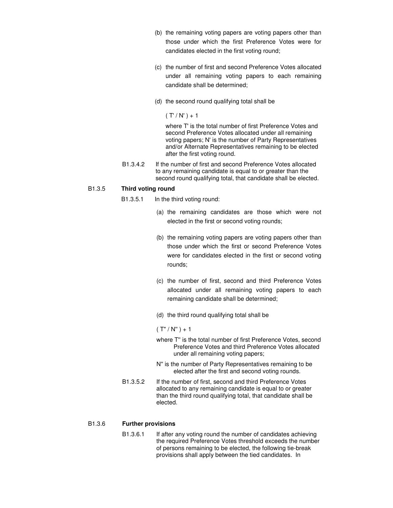- (b) the remaining voting papers are voting papers other than those under which the first Preference Votes were for candidates elected in the first voting round;
- (c) the number of first and second Preference Votes allocated under all remaining voting papers to each remaining candidate shall be determined;
- (d) the second round qualifying total shall be

 $(T'/N') + 1$ 

where T' is the total number of first Preference Votes and second Preference Votes allocated under all remaining voting papers; N' is the number of Party Representatives and/or Alternate Representatives remaining to be elected after the first voting round.

B1.3.4.2 If the number of first and second Preference Votes allocated to any remaining candidate is equal to or greater than the second round qualifying total, that candidate shall be elected.

#### B1.3.5 **Third voting round**

- B1.3.5.1 In the third voting round:
	- (a) the remaining candidates are those which were not elected in the first or second voting rounds;
	- (b) the remaining voting papers are voting papers other than those under which the first or second Preference Votes were for candidates elected in the first or second voting rounds;
	- (c) the number of first, second and third Preference Votes allocated under all remaining voting papers to each remaining candidate shall be determined;
	- (d) the third round qualifying total shall be

 $(T''/ N'') + 1$ 

- where T'' is the total number of first Preference Votes, second Preference Votes and third Preference Votes allocated under all remaining voting papers;
- N'' is the number of Party Representatives remaining to be elected after the first and second voting rounds.
- B1.3.5.2 If the number of first, second and third Preference Votes allocated to any remaining candidate is equal to or greater than the third round qualifying total, that candidate shall be elected.

#### B1.3.6 **Further provisions**

B1.3.6.1 If after any voting round the number of candidates achieving the required Preference Votes threshold exceeds the number of persons remaining to be elected, the following tie-break provisions shall apply between the tied candidates. In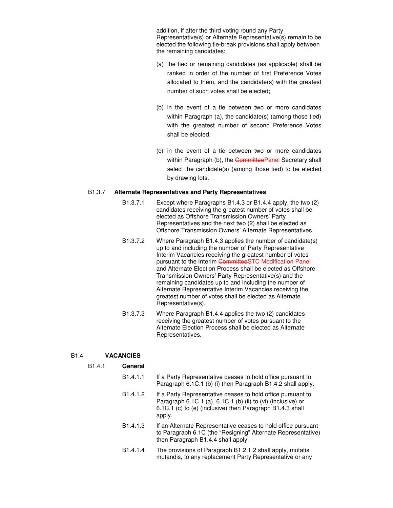addition, if after the third voting round any Party Representative(s) or Alternate Representative(s) remain to be elected the following tie-break provisions shall apply between the remaining candidates:

- (a) the tied or remaining candidates (as applicable) shall be ranked in order of the number of first Preference Votes allocated to them, and the candidate(s) with the greatest number of such votes shall be elected;
- (b) in the event of a tie between two or more candidates within Paragraph (a), the candidate(s) (among those tied) with the greatest number of second Preference Votes shall be elected;
- (c) in the event of a tie between two or more candidates within Paragraph (b), the CommitteePanel Secretary shall select the candidate(s) (among those tied) to be elected by drawing lots.

#### B1.3.7 **Alternate Representatives and Party Representatives**

- B1.3.7.1 Except where Paragraphs B1.4.3 or B1.4.4 apply, the two (2) candidates receiving the greatest number of votes shall be elected as Offshore Transmission Owners' Party Representatives and the next two (2) shall be elected as Offshore Transmission Owners' Alternate Representatives.
- B1.3.7.2 Where Paragraph B1.4.3 applies the number of candidate(s) up to and including the number of Party Representative Interim Vacancies receiving the greatest number of votes pursuant to the Interim CommitteeSTC Modification Panel and Alternate Election Process shall be elected as Offshore Transmission Owners' Party Representative(s) and the remaining candidates up to and including the number of Alternate Representative Interim Vacancies receiving the greatest number of votes shall be elected as Alternate Representative(s).
- B1.3.7.3 Where Paragraph B1.4.4 applies the two (2) candidates receiving the greatest number of votes pursuant to the Alternate Election Process shall be elected as Alternate Representatives.

#### B1.4 **VACANCIES**

B1.4.1 **General**

- B1.4.1.1 If a Party Representative ceases to hold office pursuant to Paragraph 6.1C.1 (b) (i) then Paragraph B1.4.2 shall apply.
- B1.4.1.2 If a Party Representative ceases to hold office pursuant to Paragraph 6.1C.1 (a), 6.1C.1 (b) (ii) to (vi) (inclusive) or 6.1C.1 (c) to (e) (inclusive) then Paragraph B1.4.3 shall apply.
- B1.4.1.3 If an Alternate Representative ceases to hold office pursuant to Paragraph 6.1C (the "Resigning" Alternate Representative) then Paragraph B1.4.4 shall apply.
- B1.4.1.4 The provisions of Paragraph B1.2.1.2 shall apply, mutatis mutandis, to any replacement Party Representative or any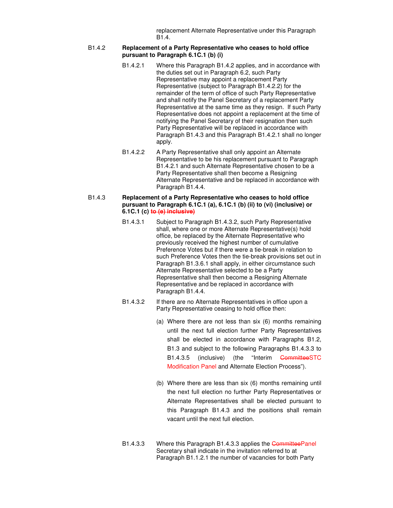replacement Alternate Representative under this Paragraph B1.4.

#### B1.4.2 **Replacement of a Party Representative who ceases to hold office pursuant to Paragraph 6.1C.1 (b) (i)**

- B1.4.2.1 Where this Paragraph B1.4.2 applies, and in accordance with the duties set out in Paragraph 6.2, such Party Representative may appoint a replacement Party Representative (subject to Paragraph B1.4.2.2) for the remainder of the term of office of such Party Representative and shall notify the Panel Secretary of a replacement Party Representative at the same time as they resign. If such Party Representative does not appoint a replacement at the time of notifying the Panel Secretary of their resignation then such Party Representative will be replaced in accordance with Paragraph B1.4.3 and this Paragraph B1.4.2.1 shall no longer apply.
- B1.4.2.2 A Party Representative shall only appoint an Alternate Representative to be his replacement pursuant to Paragraph B1.4.2.1 and such Alternate Representative chosen to be a Party Representative shall then become a Resigning Alternate Representative and be replaced in accordance with Paragraph B1.4.4.

#### B1.4.3 **Replacement of a Party Representative who ceases to hold office pursuant to Paragraph 6.1C.1 (a), 6.1C.1 (b) (ii) to (vi) (inclusive) or 6.1C.1 (c) to (e) inclusive)**

- B1.4.3.1 Subject to Paragraph B1.4.3.2, such Party Representative shall, where one or more Alternate Representative(s) hold office, be replaced by the Alternate Representative who previously received the highest number of cumulative Preference Votes but if there were a tie-break in relation to such Preference Votes then the tie-break provisions set out in Paragraph B1.3.6.1 shall apply, in either circumstance such Alternate Representative selected to be a Party Representative shall then become a Resigning Alternate Representative and be replaced in accordance with Paragraph B1.4.4.
- B1.4.3.2 If there are no Alternate Representatives in office upon a Party Representative ceasing to hold office then:
	- (a) Where there are not less than six (6) months remaining until the next full election further Party Representatives shall be elected in accordance with Paragraphs B1.2, B1.3 and subject to the following Paragraphs B1.4.3.3 to B1.4.3.5 (inclusive) (the "Interim CommitteeSTC Modification Panel and Alternate Election Process").
	- (b) Where there are less than six (6) months remaining until the next full election no further Party Representatives or Alternate Representatives shall be elected pursuant to this Paragraph B1.4.3 and the positions shall remain vacant until the next full election.
- B1.4.3.3 Where this Paragraph B1.4.3.3 applies the CommitteePanel Secretary shall indicate in the invitation referred to at Paragraph B1.1.2.1 the number of vacancies for both Party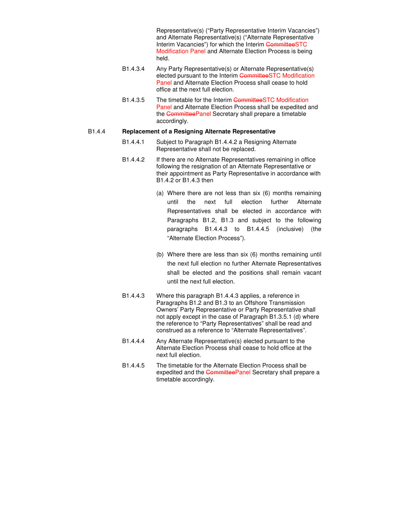Representative(s) ("Party Representative Interim Vacancies") and Alternate Representative(s) ("Alternate Representative Interim Vacancies") for which the Interim CommitteeSTC Modification Panel and Alternate Election Process is being held.

- B1.4.3.4 Any Party Representative(s) or Alternate Representative(s) elected pursuant to the Interim CommitteeSTC Modification Panel and Alternate Election Process shall cease to hold office at the next full election.
- B1.4.3.5 The timetable for the Interim CommitteeSTC Modification Panel and Alternate Election Process shall be expedited and the CommitteePanel Secretary shall prepare a timetable accordingly.

#### B1.4.4 **Replacement of a Resigning Alternate Representative**

- B1.4.4.1 Subject to Paragraph B1.4.4.2 a Resigning Alternate Representative shall not be replaced.
- B1.4.4.2 If there are no Alternate Representatives remaining in office following the resignation of an Alternate Representative or their appointment as Party Representative in accordance with B1.4.2 or B1.4.3 then
	- (a) Where there are not less than six (6) months remaining until the next full election further Alternate Representatives shall be elected in accordance with Paragraphs B1.2, B1.3 and subject to the following paragraphs B1.4.4.3 to B1.4.4.5 (inclusive) (the "Alternate Election Process").
	- (b) Where there are less than six (6) months remaining until the next full election no further Alternate Representatives shall be elected and the positions shall remain vacant until the next full election.
- B1.4.4.3 Where this paragraph B1.4.4.3 applies, a reference in Paragraphs B1.2 and B1.3 to an Offshore Transmission Owners' Party Representative or Party Representative shall not apply except in the case of Paragraph B1.3.5.1 (d) where the reference to "Party Representatives" shall be read and construed as a reference to "Alternate Representatives".
- B1.4.4.4 Any Alternate Representative(s) elected pursuant to the Alternate Election Process shall cease to hold office at the next full election.
- B1.4.4.5 The timetable for the Alternate Election Process shall be expedited and the CommitteePanel Secretary shall prepare a timetable accordingly.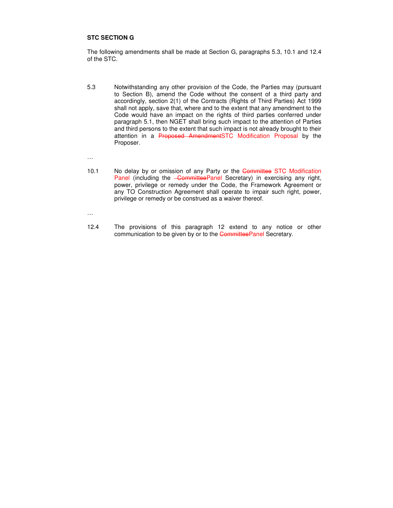#### **STC SECTION G**

The following amendments shall be made at Section G, paragraphs 5.3, 10.1 and 12.4 of the STC.

5.3 Notwithstanding any other provision of the Code, the Parties may (pursuant to Section B), amend the Code without the consent of a third party and accordingly, section 2(1) of the Contracts (Rights of Third Parties) Act 1999 shall not apply, save that, where and to the extent that any amendment to the Code would have an impact on the rights of third parties conferred under paragraph 5.1, then NGET shall bring such impact to the attention of Parties and third persons to the extent that such impact is not already brought to their attention in a Proposed AmendmentSTC Modification Proposal by the Proposer.

…

10.1 No delay by or omission of any Party or the Committee STC Modification Panel (including the *CommitteePanel Secretary*) in exercising any right, power, privilege or remedy under the Code, the Framework Agreement or any TO Construction Agreement shall operate to impair such right, power, privilege or remedy or be construed as a waiver thereof.

…

12.4 The provisions of this paragraph 12 extend to any notice or other communication to be given by or to the CommitteePanel Secretary.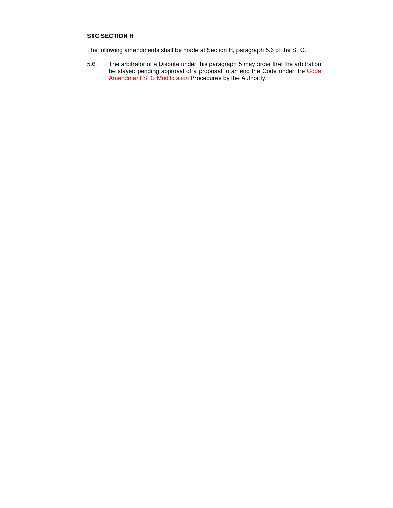#### **STC SECTION H**

The following amendments shall be made at Section H, paragraph 5.6 of the STC.

5.6 The arbitrator of a Dispute under this paragraph 5 may order that the arbitration be stayed pending approval of a proposal to amend the Code under the Code Amendment STC Modification Procedures by the Authority.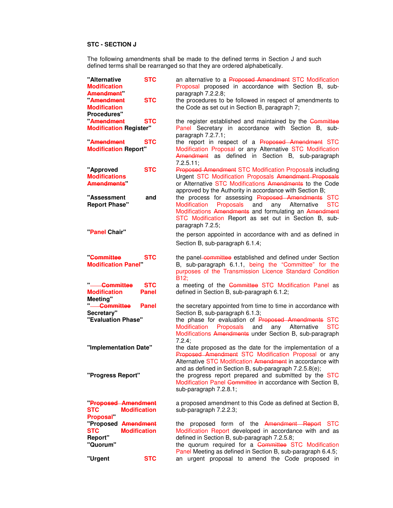#### **STC - SECTION J**

The following amendments shall be made to the defined terms in Section J and such defined terms shall be rearranged so that they are ordered alphabetically.

| "Alternative<br><b>Modification</b><br>Amendment <b>M</b><br>Amendment<br><b>Modification</b> | <b>STC</b><br><b>STC</b>   | an alternative to a Proposed Amendment STC Modification<br>Proposal proposed in accordance with Section B, sub-<br>paragraph 7.2.2.8;<br>the procedures to be followed in respect of amendments to<br>the Code as set out in Section B, paragraph 7;                                                                                |
|-----------------------------------------------------------------------------------------------|----------------------------|-------------------------------------------------------------------------------------------------------------------------------------------------------------------------------------------------------------------------------------------------------------------------------------------------------------------------------------|
| <b>Procedures"</b><br>Amendment<br><b>Modification Register"</b>                              | <b>STC</b>                 | the register established and maintained by the Committee<br>Panel Secretary in accordance with Section B, sub-<br>paragraph 7.2.7.1;                                                                                                                                                                                                |
| Amendment<br><b>Modification Report"</b>                                                      | <b>STC</b>                 | the report in respect of a Proposed Amendment STC<br>Modification Proposal or any Alternative STC Modification<br>Amendment as defined in Section B, sub-paragraph<br>$7.2.5.11$ :                                                                                                                                                  |
| "Approved<br><b>Modifications</b><br><b>Amendments</b>                                        | <b>STC</b>                 | <b>Proposed Amendment STC Modification Proposals including</b><br>Urgent STC Modification Proposals Amendment Proposals<br>or Alternative STC Modifications Amendments to the Code<br>approved by the Authority in accordance with Section B;                                                                                       |
| "Assessment<br><b>Report Phase"</b>                                                           | and                        | the process for assessing Proposed Amendments STC<br>Modification<br>Proposals<br>and<br>any Alternative<br><b>STC</b><br>Modifications Amendments and formulating an Amendment<br>STC Modification Report as set out in Section B, sub-<br>paragraph 7.2.5;                                                                        |
| <b>Panel Chair"</b>                                                                           |                            | the person appointed in accordance with and as defined in<br>Section B, sub-paragraph 6.1.4;                                                                                                                                                                                                                                        |
| Committee<br><b>Modification Panel</b>                                                        | <b>STC</b>                 | the panel committee established and defined under Section<br>B, sub-paragraph 6.1.1, being the "Committee" for the<br>purposes of the Transmission Licence Standard Condition<br>B <sub>12</sub> ;                                                                                                                                  |
| "-Committee<br><b>Modification</b><br>Meeting"                                                | <b>STC</b><br><b>Panel</b> | a meeting of the Committee STC Modification Panel as<br>defined in Section B, sub-paragraph 6.1.2;                                                                                                                                                                                                                                  |
| "-Committee<br>Secretary"<br>"Evaluation Phase"                                               | <b>Panel</b>               | the secretary appointed from time to time in accordance with<br>Section B, sub-paragraph 6.1.3;<br>the phase for evaluation of Proposed Amendments STC<br>Proposals<br>and<br>any Alternative<br>Modification<br><b>STC</b><br>Modifications Amendments under Section B, sub-paragraph<br>$7.2.4$ ;                                 |
| "Implementation Date"<br>"Progress Report"                                                    |                            | the date proposed as the date for the implementation of a<br>Proposed Amendment STC Modification Proposal or any<br>Alternative STC Modification Amendment in accordance with<br>and as defined in Section B, sub-paragraph 7.2.5.8(e);<br>the progress report prepared and submitted by the STC                                    |
|                                                                                               |                            | Modification Panel Committee in accordance with Section B,<br>sub-paragraph 7.2.8.1;                                                                                                                                                                                                                                                |
| <b>Proposed Amendment</b><br><b>STC</b><br><b>Modification</b><br><b>Proposal"</b>            |                            | a proposed amendment to this Code as defined at Section B,<br>sub-paragraph 7.2.2.3;                                                                                                                                                                                                                                                |
| "Proposed Amendment<br><b>STC</b><br><b>Modification</b><br>Report"<br>"Quorum"<br>"Urgent    | <b>STC</b>                 | the proposed form of the Amendment Report STC<br>Modification Report developed in accordance with and as<br>defined in Section B, sub-paragraph 7.2.5.8;<br>the quorum required for a Committee STC Modification<br>Panel Meeting as defined in Section B, sub-paragraph 6.4.5;<br>an urgent proposal to amend the Code proposed in |
|                                                                                               |                            |                                                                                                                                                                                                                                                                                                                                     |